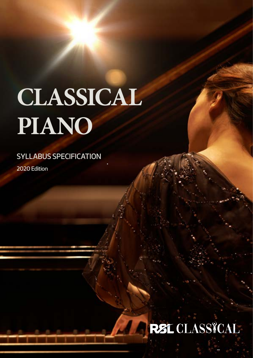## **CLASSICAL PIANO**

SYLLABUS SPECIFICATION 2020 Edition

## **REL CLASSTCAL**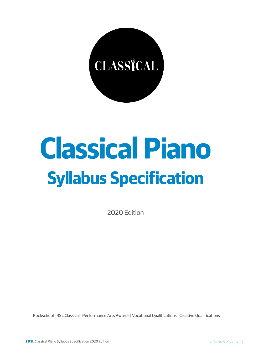

## **Classical Piano Syllabus Specification**

2020 Edition

Rockschool | RSL Classical | Performance Arts Awards | Vocational Qualifications | Creative Qualifications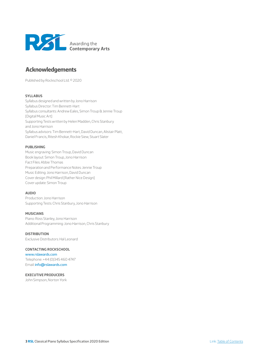<span id="page-2-0"></span>

## **Acknowledgements**

Published by Rockschool Ltd. © 2020

#### **SYLLABUS**

Syllabus designed and written by Jono Harrison Syllabus Director: Tim Bennett-Hart Syllabus consultants: Andrew Eales, Simon Troup & Jennie Troup [Digital Music Art] Supporting Tests written by Helen Madden, Chris Stanbury and Jono Harrison Syllabus advisors: Tim Bennett-Hart, David Duncan, Alistair Platt, Daniel Francis, Ritesh Khokar, Rockie Siew, Stuart Slater

#### **PUBLISHING**

Music engraving: Simon Troup, David Duncan Book layout: Simon Troup, Jono Harrison Fact Files: Abbie Thomas Preparation and Performance Notes: Jennie Troup Music Editing: Jono Harrison, David Duncan Cover design: Phil Millard [Rather Nice Design] Cover update: Simon Troup

#### **AUDIO**

Production: Jono Harrison Supporting Tests: Chris Stanbury, Jono Harrison

#### **MUSICIANS**

Piano: Ross Stanley, Jono Harrison Additional Programming: Jono Harrison, Chris Stanbury

#### **DISTRIBUTION**

Exclusive Distributors: Hal Leonard

#### **CONTACTING ROCKSCHOOL**

[www.rslawards.com](mailto:www.rslawards.com?subject=) Telephone: +44 (0)345 460 4747 Email: [info@rslawards.com](mailto:info%40rslawards.com?subject=)

#### **EXECUTIVE PRODUCERS**

John Simpson, Norton York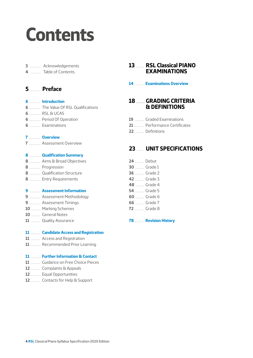## <span id="page-3-0"></span>**Contents**

............... [Acknowledgements](#page-2-0)

.............. Table of Contents

## ............... **[Preface](#page-4-0)**

#### ................ **[Introduction](#page-5-0)**

- ................ [The Value Of RSL Qualifications](#page-5-0)
- ................ [RSL & UCAS](#page-5-0)
- ................ [Period Of Operation](#page-5-0)
- ................ [Examinations](#page-5-0)

#### ................ **[Overview](#page-6-0)**

................ [Assessment Overview](#page-6-0)

#### ................ **[Qualification Summary](#page-7-0)**

- ................ [Aims & Broad Objectives](#page-7-0)
- ................ [Progression](#page-7-0)
- ................ [Qualification Structure](#page-7-0)
- ................ [Entry Requirements](#page-7-0)

#### ................ **[Assessment Information](#page-8-0)**

- ................ [Assessment Methodology](#page-8-0)
- ................ [Assessment Timings](#page-8-0)
- ............. [Marking Schemes](#page-9-0)
- ............. [General Notes](#page-9-0)
- .............. [Quality Assurance](#page-10-0)

#### .............. **[Candidate Access and Registration](#page-10-0)**

- .............. [Access and Registration](#page-10-0)
- .............. [Recommended Prior Learning](#page-10-0)

#### .............. **[Further Information & Contact](#page-10-0)**

- .............. [Guidance on Free Choice Pieces](#page-10-0)
- .............. [Complaints & Appeals](#page-11-0)
- .............. [Equal Opportunities](#page-11-0)
- .............. [Contacts for Help & Support](#page-11-0)

## ........... **[RSL Classical PIANO](#page-12-0)  [EXAMINATIONS](#page-12-0)**

#### ............. **[Examinations Overview](#page-13-0)**

## .................... **[GRADING CRITERIA](#page-17-0)  [& DEFINITIONS](#page-17-0)**

- ............. [Graded Examinations](#page-18-0)
- .............. [Performance Certificates](#page-20-0)
- ............. [Definitions](#page-21-0)

## .......... **[UNIT SPECIFICATIONS](#page-22-0)**

 ............. [Debut](#page-23-0) ............ [Grade 1](#page-29-0) ............. [Grade 2](#page-35-0) ............. [Grade 3](#page-41-0) ............ [Grade 4](#page-47-0) ............. [Grade 5](#page-53-0) ............ [Grade 6](#page-59-0) ............ [Grade 7](#page-65-0) ............. [Grade 8](#page-71-0)

............. **[Revision History](#page-77-0)**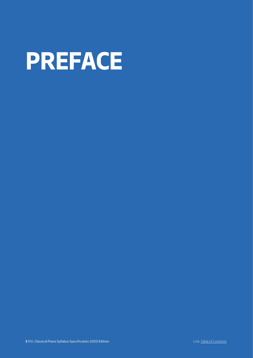<span id="page-4-0"></span>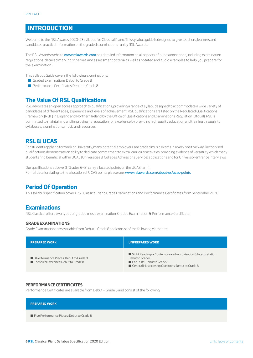## <span id="page-5-0"></span>**INTRODUCTION**

Welcome to the RSL Awards 2020-23 syllabus for Classical Piano. This syllabus guide is designed to give teachers, learners and candidates practical information on the graded examinations run by RSL Awards.

The RSL Awards website [www.rslawards.com](http://www.rslawards.com) has detailed information on all aspects of our examinations, including examination regulations, detailed marking schemes and assessment criteria as well as notated and audio examples to help you prepare for the examination.

This Syllabus Guide covers the following examinations:

- Graded Examinations Debut to Grade 8
- **Performance Certificates Debut to Grade 8**

## **The Value Of RSL Qualifications**

RSL advocates an open access approach to qualifications, providing a range of syllabi, designed to accommodate a wide variety of candidates of different ages, experience and levels of achievement. RSL qualifications are listed on the Regulated Qualifications Framework (RQF) in England and Northern Ireland by the Office of Qualifications and Examinations Regulation (Ofqual). RSL is committed to maintaining and improving its reputation for excellence by providing high quality education and training through its syllabuses, examinations, music and resources.

## **RSL & UCAS**

For students applying for work or University, many potential employers see graded music exams in a very positive way. Recognised qualifications demonstrate an ability to dedicate commitment to extra-curricular activities, providing evidence of versatility which many students find beneficial within UCAS (Universities & Colleges Admissions Service) applications and for University entrance interviews.

Our qualifications at Level 3 (Grades 6–8) carry allocated points on the UCAS tariff. For full details relating to the allocation of UCAS points please see: www.rslawards.com/about-us/ucas-points

## **Period Of Operation**

This syllabus specification covers RSL Classical Piano Grade Examinations and Performance Certificates from September 2020.

## **Examinations**

RSL Classical offers two types of graded music examination: Graded Examination & Performance Certificate.

#### **GRADE EXAMINATIONS**

Grade Examinations are available from Debut – Grade 8 and consist of the following elements:

| <b>PREPARED WORK</b>                                                                                          | <b>UNPREPARED WORK</b>                                                                                                                                                              |
|---------------------------------------------------------------------------------------------------------------|-------------------------------------------------------------------------------------------------------------------------------------------------------------------------------------|
| $\blacksquare$ 3 Performance Pieces: Debut to Grade 8<br>$\blacksquare$ Technical Exercises: Debut to Grade 8 | $\blacksquare$ Sight Reading or Contemporary Improvisation & Interpretation:<br>Debut to Grade 8<br>Ear Tests: Debut to Grade 8<br>General Musicianship Questions: Debut to Grade 8 |

#### **PERFORMANCE CERTIFICATES**

Performance Certificates are available from Debut – Grade 8 and consist of the following:



Eive Performance Pieces: Debut to Grade 8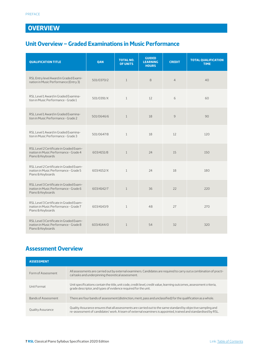## <span id="page-6-0"></span>**OVERVIEW**

## **Unit Overview – Graded Examinations in Music Performance**

| <b>QUALIFICATION TITLE</b>                                                                             | <b>OAN</b> | <b>TOTAL NO.</b><br><b>OF UNITS</b> | <b>GUIDED</b><br><b>LEARNING</b><br><b>HOURS</b> | <b>CREDIT</b>  | <b>TOTAL QUALIFICATION</b><br><b>TIME</b> |
|--------------------------------------------------------------------------------------------------------|------------|-------------------------------------|--------------------------------------------------|----------------|-------------------------------------------|
| RSL Entry level Award in Graded Exami-<br>nation in Music Performance (Entry 3)                        | 501/0370/2 | $\mathbf{1}$                        | 8                                                | $\overline{4}$ | 40                                        |
| RSL Level 1 Award in Graded Examina-<br>tion in Music Performance - Grade 1                            | 501/0391/X | $\mathbf{1}$                        | 12                                               | 6              | 60                                        |
| RSL Level 1 Award in Graded Examina-<br>tion in Music Performance - Grade 2                            | 501/0646/6 | $\mathbf{1}$                        | 18                                               | 9              | 90                                        |
| RSL Level1 Award in Graded Examina-<br>tion in Music Performance - Grade 3                             | 501/0647/8 | $\mathbf{1}$                        | 18                                               | 12             | 120                                       |
| RSL Level 2 Certificate in Graded Exam-<br>ination in Music Performance - Grade 4<br>Piano & Keyboards | 603/4151/8 | $\mathbf{1}$                        | 24                                               | 15             | 150                                       |
| RSL Level 2 Certificate in Graded Exam-<br>ination in Music Performance - Grade 5<br>Piano & Keyboards | 603/4152/X | $\mathbf{1}$                        | 24                                               | 18             | 180                                       |
| RSL Level 3 Certificate in Graded Exam-<br>ination in Music Performance - Grade 6<br>Piano & Keyboards | 603/4142/7 | $\mathbf{1}$                        | 36                                               | 22             | 220                                       |
| RSL Level 3 Certificate in Graded Exam-<br>ination in Music Performance - Grade 7<br>Piano & Keyboards | 603/4143/9 | $\mathbf{1}$                        | 48                                               | 27             | 270                                       |
| RSL Level 3 Certificate in Graded Exam-<br>ination in Music Performance - Grade 8<br>Piano & Keyboards | 603/4144/0 | $\mathbf{1}$                        | 54                                               | 32             | 320                                       |

## **Assessment Overview**

| <b>ASSESSMENT</b>        |                                                                                                                                                                                                                                 |
|--------------------------|---------------------------------------------------------------------------------------------------------------------------------------------------------------------------------------------------------------------------------|
| Form of Assessment       | All assessments are carried out by external examiners. Candidates are required to carry out a combination of practi-<br>cal tasks and underpinning theoretical assessment.                                                      |
| Unit Format              | Unit specifications contain the title, unit code, credit level, credit value, learning outcomes, assessment criteria,<br>grade descriptor, and types of evidence required for the unit.                                         |
| Bands of Assessment      | There are four bands of assessment (distinction, merit, pass and unclassified) for the qualification as a whole.                                                                                                                |
| <b>Quality Assurance</b> | Quality Assurance ensures that all assessments are carried out to the same standard by objective sampling and<br>re-assessment of candidates' work. A team of external examiners is appointed, trained and standardised by RSL. |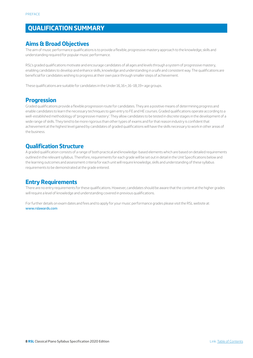## <span id="page-7-0"></span>**QUALIFICATION SUMMARY**

## **Aims & Broad Objectives**

The aim of music performance qualifications is to provide a flexible, progressive mastery approach to the knowledge, skills and understanding required for popular music performance.

RSL's graded qualifications motivate and encourage candidates of all ages and levels through a system of progressive mastery, enabling candidates to develop and enhance skills, knowledge and understanding in a safe and consistent way. The qualifications are beneficial for candidates wishing to progress at their own pace through smaller steps of achievement.

These qualifications are suitable for candidates in the Under 16, 16+, 16–18, 19+ age groups.

## **Progression**

Graded qualifications provide a flexible progression route for candidates. They are a positive means of determining progress and enable candidates to learn the necessary techniques to gain entry to FE and HE courses. Graded qualifications operate according to a well-established methodology of 'progressive mastery'. They allow candidates to be tested in discrete stages in the development of a wide range of skills. They tend to be more rigorous than other types of exams and for that reason industry is confident that achievement at the highest level gained by candidates of graded qualifications will have the skills necessary to work in other areas of the business.

## **Qualification Structure**

A graded qualification consists of a range of both practical and knowledge-based elements which are based on detailed requirements outlined in the relevant syllabus. Therefore, requirements for each grade will be set out in detail in the Unit Specifications below and the learning outcomes and assessment criteria for each unit will require knowledge, skills and understanding of these syllabus requirements to be demonstrated at the grade entered.

## **Entry Requirements**

There are no entry requirements for these qualifications. However, candidates should be aware that the content at the higher grades will require a level of knowledge and understanding covered in previous qualifications.

For further details on exam dates and fees and to apply for your music performance grades please visit the RSL website at: [www.rslawards.com](http://www.rslawards.com/)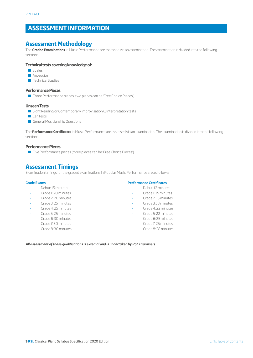## <span id="page-8-0"></span>**ASSESSMENT INFORMATION**

### **Assessment Methodology**

The **Graded Examinations** in Music Performance are assessed via an examination. The examination is divided into the following sections:

#### **Technical tests covering knowledge of:**

- Scales
- **Arpeggios**
- **D** Technical Studies

#### **Performance Pieces**

■ Three Performance pieces (two pieces can be 'Free Choice Pieces')

#### **Unseen Tests**

- Sight Reading or Contemporary Improvisation & Interpretation tests
- Ear Tests
- General Musicianship Questions

The **Performance Certificates** in Music Performance are assessed via an examination. The examination is divided into the following sections:

#### **Performance Pieces**

■ Five Performance pieces (three pieces can be 'Free Choice Pieces')

## **Assessment Timings**

Examination timings for the graded examinations in Popular Music Performance are as follows:

#### **Grade Exams**

- Debut: 15 minutes
- Grade 1: 20 minutes
- Grade 2: 20 minutes
- Grade 3: 25 minutes
- Grade 4: 25 minutes
- Grade 5: 25 minutes
- Grade 6: 30 minutes
- Grade 7: 30 minutes
- Grade 8: 30 minutes

#### **Performance Certificates**

- Debut: 12 minutes
- Grade 1: 15 minutes
- Grade 2: 15 minutes
- Grade 3: 18 minutes
- Grade 4: 22 minutes
- Grade 5: 22 minutes
- Grade 6: 25 minutes
- Grade 7: 25 minutes
- Grade 8: 28 minutes

*All assessment of these qualifications is external and is undertaken by RSL Examiners.*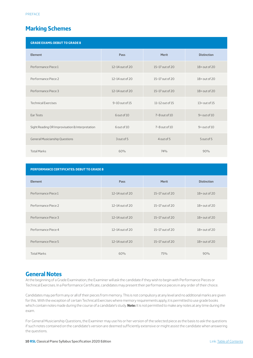## <span id="page-9-0"></span>**Marking Schemes**

| <b>GRADE EXAMS: DEBUT TO GRADE 8</b>            |                    |                     |                    |
|-------------------------------------------------|--------------------|---------------------|--------------------|
| <b>Element</b>                                  | Pass               | <b>Merit</b>        | <b>Distinction</b> |
| Performance Piece 1                             | 12-14 out of 20    | 15-17 out of 20     | 18+ out of 20      |
| Performance Piece 2                             | 12-14 out of 20    | 15-17 out of 20     | $18+$ out of 20    |
| Performance Piece 3                             | 12-14 out of 20    | 15-17 out of 20     | $18+$ out of 20    |
| <b>Technical Exercises</b>                      | $9-10$ out of $15$ | 11-12 out of 15     | $13+$ out of $15$  |
| Ear Tests                                       | 6 out of 10        | $7 - 8$ out of $10$ | $9+$ out of $10$   |
| Sight Reading OR Improvisation & Interpretation | 6 out of 10        | $7 - 8$ out of $10$ | $9+$ out of $10$   |
| <b>General Musicianship Questions</b>           | 3 out of 5         | 4 out of 5          | 5 out of 5         |
| <b>Total Marks</b>                              | 60%                | 74%                 | 90%                |

| PERFORMANCE CERTIFICATES: DEBUT TO GRADE 8 |                     |                   |                    |
|--------------------------------------------|---------------------|-------------------|--------------------|
| <b>Element</b>                             | Pass                | Merit             | <b>Distinction</b> |
| Performance Piece 1                        | $12-14$ out of 20   | 15-17 out of 20   | $18+$ out of 20    |
| Performance Piece 2                        | $12 - 14$ out of 20 | 15-17 out of 20   | $18+$ out of 20    |
| Performance Piece 3                        | $12-14$ out of 20   | $15-17$ out of 20 | $18+$ out of 20    |
| Performance Piece 4                        | 12-14 out of 20     | $15-17$ out of 20 | $18+$ out of 20    |
| Performance Piece 5                        | 12-14 out of 20     | 15-17 out of 20   | $18+$ out of 20    |
| <b>Total Marks</b>                         | 60%                 | 75%               | 90%                |

## **General Notes**

At the beginning of a Grade Examination, the Examiner will ask the candidate if they wish to begin with Performance Pieces or Technical Exercises. In a Performance Certificate, candidates may present their performance pieces in any order of their choice.

Candidates may perform any or all of their pieces from memory. This is not compulsory at any level and no additional marks are given for this. With the exception of certain Technical Exercises where memory requirements apply, it is permitted to use grade books which contain notes made during the course of a candidate's study. **Note:** It is not permitted to make any notes at any time during the exam.

For General Musicianship Questions, the Examiner may use his or her version of the selected piece as the basis to ask the questions if such notes contained on the candidate's version are deemed sufficiently extensive or might assist the candidate when answering the questions.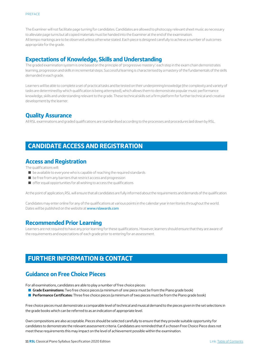<span id="page-10-0"></span>The Examiner will not facilitate page turning for candidates. Candidates are allowed to photocopy relevant sheet music as necessary to alleviate page turns but all copied materials must be handed into the Examiner at the end of the examination. All tempo markings are to be observed unless otherwise stated. Each piece is designed carefully to achieve a number of outcomes appropriate for the grade.

#### **Expectations of Knowledge, Skills and Understanding**

The graded examination system is one based on the principle of 'progressive mastery': each step in the exam chain demonstrates learning, progression and skills in incremental steps. Successful learning is characterised by a mastery of the fundamentals of the skills demanded in each grade.

Learners will be able to complete a set of practical tasks and be tested on their underpinning knowledge (the complexity and variety of tasks are determined by which qualification is being attempted), which allows them to demonstrate popular music performance knowledge, skills and understanding relevant to the grade. These technical skills set a firm platform for further technical and creative development by the learner.

### **Quality Assurance**

All RSL examinations and graded qualifications are standardised according to the processes and procedures laid down by RSL.

## **CANDIDATE ACCESS AND REGISTRATION**

## **Access and Registration**

The qualifications will:

- $\blacksquare$  be available to everyone who is capable of reaching the required standards
- $\blacksquare$  be free from any barriers that restrict access and progression
- $\blacksquare$  offer equal opportunities for all wishing to access the qualifications

At the point of application, RSL will ensure that all candidates are fully informed about the requirements and demands of the qualification.

Candidates may enter online for any of the qualifications at various points in the calendar year in territories throughout the world. Dates will be published on the website at [www.rslawards.com](http://www.rslawards.com/)

## **Recommended Prior Learning**

Learners are not required to have any prior learning for these qualifications. However, learners should ensure that they are aware of the requirements and expectations of each grade prior to entering for an assessment.

## **FURTHER INFORMATION & CONTACT**

## **Guidance on Free Choice Pieces**

For all examinations, candidates are able to play a number of free choice pieces:

- **Grade Examinations:** Two free choice pieces (a minimum of one piece must be from the Piano grade book)
- **Performance Certificates:** Three free choice pieces (a minimum of two pieces must be from the Piano grade book)

Free choice pieces must demonstrate a comparable level of technical and musical demand to the pieces given in the set selections in the grade books which can be referred to as an indication of appropriate level.

Own compositions are also acceptable. Pieces should be selected carefully to ensure that they provide suitable opportunity for candidates to demonstrate the relevant assessment criteria. Candidates are reminded that if a chosen Free Choice Piece does not meet these requirements this may impact on the level of achievement possible within the examination.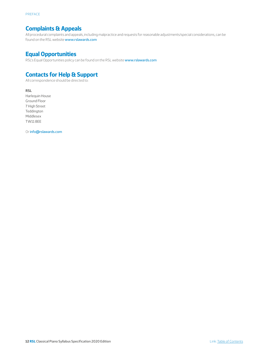## <span id="page-11-0"></span>**Complaints & Appeals**

All procedural complaints and appeals, including malpractice and requests for reasonable adjustments/special considerations, can be found on the RSL website [www.rslawards.com](http://www.rslawards.com/)

## **Equal Opportunities**

RSL's Equal Opportunities policy can be found on the RSL website [www.rslawards.com](http://www.rslawards.com/)

## **Contacts for Help & Support**

All correspondence should be directed to:

**RSL** Harlequin House Ground Floor 7 High Street Teddington Middlesex TW11 8EE

Or [info@rslawards.com](mailto:info%40rslawards.com?subject=)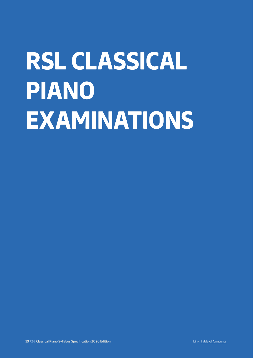## <span id="page-12-0"></span>**RSL CLASSICAL PIANO EXAMINATIONS**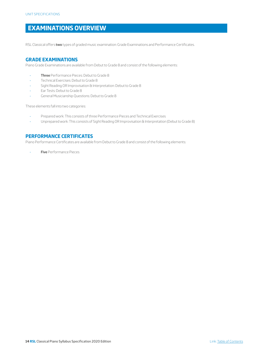## <span id="page-13-0"></span>**EXAMINATIONS OVERVIEW**

RSL Classical offers **two** types of graded music examination: Grade Examinations and Performance Certificates.

#### **GRADE EXAMINATIONS**

Piano Grade Examinations are available from Debut to Grade 8 and consist of the following elements:

- **Three** Performance Pieces: Debut to Grade 8
- Technical Exercises: Debut to Grade 8
- Sight Reading OR Improvisation & Interpretation: Debut to Grade 8
- Ear Tests: Debut to Grade 8
- General Musicianship Questions: Debut to Grade 8

These elements fall into two categories:

- Prepared work: This consists of three Performance Pieces and Technical Exercises
- Unprepared work: This consists of Sight Reading OR Improvisation & Interpretation (Debut to Grade 8)

#### **PERFORMANCE CERTIFICATES**

Piano Performance Certificates are available from Debut to Grade 8 and consist of the following elements:

- **Five** Performance Pieces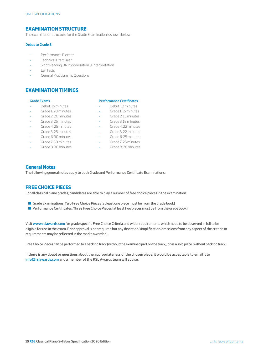#### **EXAMINATION STRUCTURE**

The examination structure for the Grade Examination is shown below:

#### **Debut to Grade 8**

- Performance Pieces\*
- Technical Exercises\*
- Sight Reading OR Improvisation & Interpretation
- Ear Tests
- General Musicianship Questions

#### **EXAMINATION TIMINGS**

#### **Grade Exams**

- Debut: 15 minutes
- Grade 1: 20 minutes
- Grade 2: 20 minutes
- Grade 3: 25 minutes
- Grade 4: 25 minutes
- Grade 5: 25 minutes
- Grade 6: 30 minutes
- Grade 7: 30 minutes
- Grade 8: 30 minutes

#### **Performance Certificates**

- Debut: 12 minutes
- Grade 1: 15 minutes
- Grade 2: 15 minutes
- Grade 3: 18 minutes
- Grade 4: 22 minutes
- Grade 5: 22 minutes
- Grade 6: 25 minutes
- Grade 7: 25 minutes
- Grade 8: 28 minutes

#### **General Notes**

The following general notes apply to both Grade and Performance Certificate Examinations:

#### **FREE CHOICE PIECES**

For all classical piano grades, candidates are able to play a number of free choice pieces in the examination:

- Grade Examinations: **Two** Free Choice Pieces (at least one piece must be from the grade book)
- **Performance Certificates: Three** Free Choice Pieces (at least two pieces must be from the grade book)

Visit **www.rslawards.com** for grade specific Free Choice Criteria and wider requirements which need to be observed in full to be eligible for use in the exam. Prior approval is not required but any deviation/simplification/omissions from any aspect of the criteria or requirements may be reflected in the marks awarded.

Free Choice Pieces can be performed to a backing track (without the examined part on the track), or as a solo piece (without backing track).

If there is any doubt or questions about the appropriateness of the chosen piece, it would be acceptable to email it to **info@rslawards.com** and a member of the RSL Awards team will advise.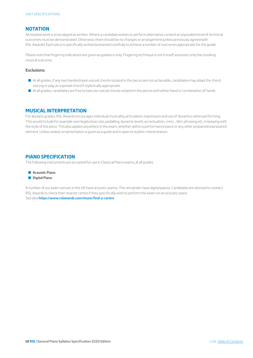#### **NOTATION**

All notated work is to be played as written. Where a candidate wishes to perform alternative content an equivalent level of technical outcomes must be demonstrated. Otherwise, there should be no changes or arrangement (unless previously agreed with RSL Awards). Each piece is specifically written/presented carefully to achieve a number of outcomes appropriate for the grade.

Please note that fingering indications are given as guidance only. Fingering technique is not in itself assessed, only the resulting musical outcome.

#### **Exclusions:**

- Q At all grades, if any two handed/open voiced chords notated in the pieces are not achievable, candidates may adapt the chord voicing or play as a spread chord if stylistically appropriate.
- Q At all grades, candidates are free to execute voiced chords notated in the pieces with either hand or combination of hands.

#### **MUSICAL INTERPRETATION**

For all piano grades, RSL Awards encourages individual musicality, articulation, expression and use of dynamics when performing. This would include for example own legato/staccato, pedalling, dynamic levels, accentuation, cresc.../dim, phrasing etc, in keeping with the style of the piece. This also applies anywhere in the exam, whether within a performance piece or any other prepared/unprepared element. Unless stated, ornamentation is given as a guide and is open to stylistic interpretation.

#### **PIANO SPECIFICATION**

The following instruments are accepted for use in Classical Piano exams, at all grades.

- **Acoustic Piano**
- **Digital Piano**

A number of our exam venues in the UK have acoustic pianos. The remainder have digital pianos. Candidates are advised to contact RSL Awards to check their nearest centre if they specifically wish to perform the exam on an acoustic piano. See also **https://www.rslawards.com/music/find-a-centre**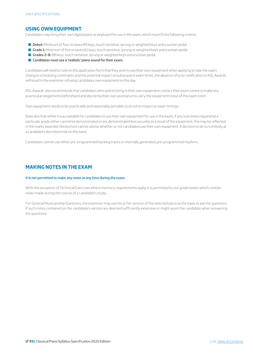#### **USING OWN EQUIPMENT**

Candidates may bring their own digital piano or keyboard for use in the exam, which must fit the following criteria:

- **Debut:** Minimum of four octaves/49 keys, touch sensitive, sprung or weighted keys and a sustain pedal.
- **Grade 1:** Minimum of five octaves/61 keys, touch sensitive, sprung or weighted keys and a sustain pedal.
- Grades 2–8: 88 keys, touch sensitive, sprung or weighted keys and a sustain pedal.
- Candidates must use a 'realistic' piano sound for their exam.

Candidates will need to note on the application form that they wish to use their own equipment when applying to take the exam. Owing to scheduling constraints and the potential impact on subsequent exam times, the absence of prior notification to RSL Awards will result in the examiner refusing candidates own equipment on the day.

RSL Awards also recommends that candidates who wish to bring in their own equipment contact their exam centre to make any practical arrangements beforehand and also bring their own assistance to carry the equipment in/out of the exam room.

Own equipment needs to be practicable and reasonably portable so as not to impact on exam timings.

Note also that whilst it is acceptable for candidates to use their own equipment for use in the exam, if any outcomes required at a particular grade either cannot be demonstrated or are demonstrated less securely as a result of the equipment, this may be reflected in the marks awarded. Rockschool cannot advise whether or not candidates use their own equipment. A decision to do so is entirely at a candidate's discretion/risk on this basis.

Candidates cannot use either pre-programmed backing tracks or internally generated, pre-programmed rhythms.

#### **MAKING NOTES IN THE EXAM**

#### **It is not permitted to make any notes at any time during the exam.**

With the exception of Technical Exercises where memory requirements apply, it is permitted to use grade books which contain notes made during the course of a candidate's study.

For General Musicianship Questions, the examiner may use his or her version of the selected piece as the basis to ask the questions if such notes contained on the candidate's version are deemed sufficiently extensive or might assist the candidate when answering the questions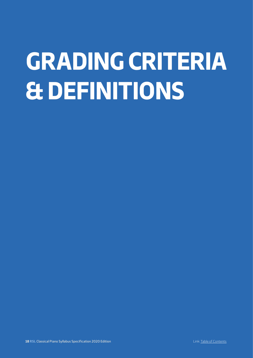## <span id="page-17-0"></span>**GRADING CRITERIA & DEFINITIONS**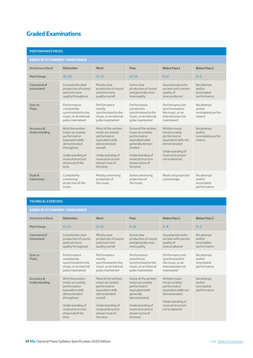## <span id="page-18-0"></span>**Graded Examinations**

| <b>PERFORMANCE PIECES</b>   |                                                                                                                                                                                  |                                                                                                                                                                                 |                                                                                                                                                                                    |                                                                                                                                                       |                                                     |  |
|-----------------------------|----------------------------------------------------------------------------------------------------------------------------------------------------------------------------------|---------------------------------------------------------------------------------------------------------------------------------------------------------------------------------|------------------------------------------------------------------------------------------------------------------------------------------------------------------------------------|-------------------------------------------------------------------------------------------------------------------------------------------------------|-----------------------------------------------------|--|
|                             | <b>BANDS OF ATTAINMENT / MARK RANGE</b>                                                                                                                                          |                                                                                                                                                                                 |                                                                                                                                                                                    |                                                                                                                                                       |                                                     |  |
| <b>Attainment Band</b>      | <b>Distinction</b>                                                                                                                                                               | <b>Merit</b>                                                                                                                                                                    | Pass                                                                                                                                                                               | <b>Below Pass 1</b>                                                                                                                                   | <b>Below Pass 2</b>                                 |  |
| Mark Range                  | $18 - 20$                                                                                                                                                                        | $15 - 17$                                                                                                                                                                       | $12 - 14$                                                                                                                                                                          | $6 - 11$                                                                                                                                              | $0 - 5$                                             |  |
| Command of<br>Instrument    | Consistently clear<br>production of sound<br>and even tone<br>quality throughout                                                                                                 | Mostly clear<br>production of sound<br>and even tone<br>quality overall                                                                                                         | Some clear<br>production of sound<br>and generally even<br>tone quality                                                                                                            | Sound produced is<br>unclear with uneven<br>quality of<br>tone produced                                                                               | No attempt<br>and/or<br>incomplete<br>performance   |  |
| Sync or<br>Pulse            | Performance<br>consistently<br>synchronised to the<br>music, or an internal<br>pulse maintained                                                                                  | Performance<br>mostly<br>synchronised to the<br>music, or an internal<br>pulse maintained                                                                                       | Performance<br>sometimes<br>synchronised to the<br>music, or an internal<br>pulse maintained                                                                                       | Performance not<br>synchronised to<br>the music, or an<br>internal pulse not<br>maintained                                                            | No attempt<br>and/or<br>incomplete perfor-<br>mance |  |
| Accuracy &<br>Understanding | All of the written<br>music accurately<br>performed or<br>equivalent skills<br>demonstrated<br>throughout.<br>Understanding of<br>musical structure<br>shown all of the<br>time. | Most of the written<br>music accurately<br>performed or<br>equivalent skills<br>demonstrated<br>overall.<br>Understanding of<br>musical structure<br>shown most of<br>the time. | Some of the written<br>music accurately<br>performed or<br>equivalent skills<br>qenerally demon-<br>strated<br>Understanding of<br>musical structure<br>shown some of<br>the time. | Written music<br>not accurately<br>performed or<br>equivalent skills not<br>demonstrated.<br>Understanding of<br>musical structure.<br>not evidenced. | No attempt<br>and/or<br>incomplete perfor-<br>mance |  |
| Style &<br>Expression       | Consistently<br>convincing<br>projection of the<br>music.                                                                                                                        | Mostly convincing<br>projection of<br>the music.                                                                                                                                | Some convincing<br>projection of<br>the music.                                                                                                                                     | Music not projected<br>convincingly                                                                                                                   | No attempt<br>and/or<br>incomplete<br>performance   |  |

#### **TECHNICAL EXERCISES**

### **BANDS OF ATTAINMENT / MARK RANGE**

| <b>Attainment Band</b>      | <b>Distinction</b>                                                                                                                                                               | <b>Merit</b>                                                                                                                                                                    | Pass                                                                                                                                                                              | <b>Below Pass 1</b>                                                                                                                                  | <b>Below Pass 2</b>                               |
|-----------------------------|----------------------------------------------------------------------------------------------------------------------------------------------------------------------------------|---------------------------------------------------------------------------------------------------------------------------------------------------------------------------------|-----------------------------------------------------------------------------------------------------------------------------------------------------------------------------------|------------------------------------------------------------------------------------------------------------------------------------------------------|---------------------------------------------------|
| Mark Range                  | $13 - 15$                                                                                                                                                                        | $11 - 12$                                                                                                                                                                       | $9 - 10$                                                                                                                                                                          | $4 - 8$                                                                                                                                              | $0 - 3$                                           |
| Command of<br>Instrument    | Consistently clear<br>production of sound<br>and even tone<br>quality throughout                                                                                                 | Mostly clear<br>production of sound<br>and even tone<br>quality overall                                                                                                         | Some clear<br>production of sound<br>and generally even<br>tone quality                                                                                                           | Sound produced is<br>unclear with uneven<br>quality of<br>tone produced                                                                              | No attempt<br>and/or<br>incomplete<br>performance |
| Sync or<br>Pulse            | Performance<br>consistently<br>synchronised to the<br>music, or an internal<br>pulse maintained                                                                                  | Performance<br>mostly<br>synchronised to the<br>music, or an internal<br>pulse maintained                                                                                       | Performance<br>sometimes<br>synchronised to the<br>music, or an internal<br>pulse maintained                                                                                      | Performance not<br>synchronised to<br>the music, or an<br>internal pulse not<br>maintained                                                           | No attempt<br>and/or<br>incomplete<br>performance |
| Accuracy &<br>Understanding | All of the written<br>music accurately<br>performed or<br>equivalent skills<br>demonstrated<br>throughout.<br>Understanding of<br>musical structure<br>shown all of the<br>time. | Most of the written<br>music accurately<br>performed or<br>equivalent skills<br>demonstrated<br>overall.<br>Understanding of<br>musical structure<br>shown most of<br>the time. | Some of the written<br>music accurately<br>performed or<br>equivalent skills<br>generally<br>demonstrated.<br>Understanding of<br>musical structure<br>shown some of<br>the time. | Written music<br>not accurately<br>performed or<br>equivalent skills not<br>demonstrated.<br>Understanding of<br>musical structure<br>not evidenced. | No attempt<br>and/or<br>incomplete<br>performance |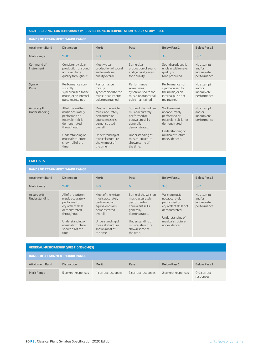#### **SIGHT READING / CONTEMPORARY IMPROVISATION & INTERPRETATION / QUICK STUDY PIECE**

#### **BANDS OF ATTAINMENT / MARK RANGE**

|                             | <u>DANUS UF AT TAINMENT / MARR RANUE</u>                                                                                                                                         |                                                                                                                                                                                 |                                                                                                                                                                                   |                                                                                                                                                      |                                                   |
|-----------------------------|----------------------------------------------------------------------------------------------------------------------------------------------------------------------------------|---------------------------------------------------------------------------------------------------------------------------------------------------------------------------------|-----------------------------------------------------------------------------------------------------------------------------------------------------------------------------------|------------------------------------------------------------------------------------------------------------------------------------------------------|---------------------------------------------------|
| <b>Attainment Band</b>      | <b>Distinction</b>                                                                                                                                                               | <b>Merit</b>                                                                                                                                                                    | Pass                                                                                                                                                                              | <b>Below Pass 1</b>                                                                                                                                  | <b>Below Pass 2</b>                               |
| Mark Range                  | $9 - 10$                                                                                                                                                                         | $7 - 8$                                                                                                                                                                         | 6                                                                                                                                                                                 | $3 - 5$                                                                                                                                              | $0 - 2$                                           |
| Command of<br>Instrument    | Consistently clear<br>production of sound<br>and even tone<br>quality throughout                                                                                                 | Mostly clear<br>production of sound<br>and even tone<br>quality overall                                                                                                         | Some clear<br>production of sound<br>and generally even<br>tone quality                                                                                                           | Sound produced is<br>unclear with uneven<br>quality of<br>tone produced                                                                              | No attempt<br>and/or<br>incomplete<br>performance |
| Sync or<br>Pulse            | Performance con-<br>sistently<br>synchronised to the<br>music, or an internal<br>pulse maintained                                                                                | Performance<br>mostly<br>synchronised to the<br>music, or an internal<br>pulse maintained                                                                                       | Performance<br>sometimes<br>synchronised to the<br>music, or an internal<br>pulse maintained                                                                                      | Performance not<br>synchronised to<br>the music, or an<br>internal pulse not<br>maintained                                                           | No attempt<br>and/or<br>incomplete<br>performance |
| Accuracy &<br>Understanding | All of the written<br>music accurately<br>performed or<br>equivalent skills<br>demonstrated<br>throughout.<br>Understanding of<br>musical structure<br>shown all of the<br>time. | Most of the written<br>music accurately<br>performed or<br>equivalent skills<br>demonstrated<br>overall.<br>Understanding of<br>musical structure<br>shown most of<br>the time. | Some of the written<br>music accurately<br>performed or<br>equivalent skills<br>generally<br>demonstrated.<br>Understanding of<br>musical structure<br>shown some of<br>the time. | Written music<br>not accurately<br>performed or<br>equivalent skills not<br>demonstrated.<br>Understanding of<br>musical structure<br>not evidenced. | No attempt<br>and/or<br>incomplete<br>performance |

**EAR TESTS**

| <b>BANDS OF ATTAINMENT / MARK RANGE</b> |                                                                                                                                                                                  |                                                                                                                                                                                 |                                                                                                                                                                                   |                                                                                                                                                      |                                                   |
|-----------------------------------------|----------------------------------------------------------------------------------------------------------------------------------------------------------------------------------|---------------------------------------------------------------------------------------------------------------------------------------------------------------------------------|-----------------------------------------------------------------------------------------------------------------------------------------------------------------------------------|------------------------------------------------------------------------------------------------------------------------------------------------------|---------------------------------------------------|
| Attainment Band                         | <b>Distinction</b>                                                                                                                                                               | <b>Merit</b>                                                                                                                                                                    | Pass                                                                                                                                                                              | <b>Below Pass 1</b>                                                                                                                                  | <b>Below Pass 2</b>                               |
| Mark Range                              | $9 - 10$                                                                                                                                                                         | $7 - 8$                                                                                                                                                                         | 6                                                                                                                                                                                 | $3 - 5$                                                                                                                                              | $0 - 2$                                           |
| Accuracy &<br>Understanding             | All of the written<br>music accurately<br>performed or<br>equivalent skills<br>demonstrated<br>throughout.<br>Understanding of<br>musical structure<br>shown all of the<br>time. | Most of the written<br>music accurately<br>performed or<br>equivalent skills<br>demonstrated<br>overall.<br>Understanding of<br>musical structure<br>shown most of<br>the time. | Some of the written<br>music accurately<br>performed or<br>equivalent skills<br>generally<br>demonstrated.<br>Understanding of<br>musical structure<br>shown some of<br>the time. | Written music<br>not accurately<br>performed or<br>equivalent skills not<br>demonstrated.<br>Understanding of<br>musical structure<br>not evidenced. | No attempt<br>and/or<br>incomplete<br>performance |

| <b>GENERAL MUSICIANSHIP QUESTIONS (GMQS)</b> |                     |                     |                     |                     |                            |
|----------------------------------------------|---------------------|---------------------|---------------------|---------------------|----------------------------|
| <b>BANDS OF ATTAINMENT / MARK RANGE</b>      |                     |                     |                     |                     |                            |
| <b>Attainment Band</b>                       | <b>Distinction</b>  | <b>Merit</b>        | Pass                | <b>Below Pass 1</b> | <b>Below Pass 2</b>        |
| Mark Range                                   | 5 correct responses | 4 correct responses | 3 correct responses | 2 correct responses | $0-1$ correct<br>responses |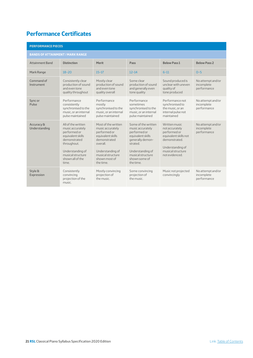## <span id="page-20-0"></span>**Performance Certificates**

|                             | <b>PERFORMANCE PIECES</b>                                                                                                                                                        |                                                                                                                                                                                 |                                                                                                                                                                                     |                                                                                                                                                    |                                                |
|-----------------------------|----------------------------------------------------------------------------------------------------------------------------------------------------------------------------------|---------------------------------------------------------------------------------------------------------------------------------------------------------------------------------|-------------------------------------------------------------------------------------------------------------------------------------------------------------------------------------|----------------------------------------------------------------------------------------------------------------------------------------------------|------------------------------------------------|
|                             | <b>BANDS OF ATTAINMENT / MARK RANGE</b>                                                                                                                                          |                                                                                                                                                                                 |                                                                                                                                                                                     |                                                                                                                                                    |                                                |
| <b>Attainment Band</b>      | <b>Distinction</b>                                                                                                                                                               | <b>Merit</b>                                                                                                                                                                    | Pass                                                                                                                                                                                | <b>Below Pass 1</b>                                                                                                                                | <b>Below Pass 2</b>                            |
| Mark Range                  | $18 - 20$                                                                                                                                                                        | $15 - 17$                                                                                                                                                                       | $12 - 14$                                                                                                                                                                           | $6 - 11$                                                                                                                                           | $0 - 5$                                        |
| Command of<br>Instrument    | Consistently clear<br>production of sound<br>and even tone<br>quality throughout                                                                                                 | Mostly clear<br>production of sound<br>and even tone<br>quality overall                                                                                                         | Some clear<br>production of sound<br>and generally even<br>tone quality                                                                                                             | Sound produced is<br>unclear with uneven<br>quality of<br>tone produced                                                                            | No attempt and/or<br>incomplete<br>performance |
| Sync or<br>Pulse            | Performance<br>consistently<br>synchronised to the<br>music, or an internal<br>pulse maintained                                                                                  | Performance<br>mostly<br>synchronised to the<br>music, or an internal<br>pulse maintained                                                                                       | Performance<br>sometimes<br>synchronised to the<br>music, or an internal<br>pulse maintained                                                                                        | Performance not<br>synchronised to<br>the music, or an<br>internal pulse not<br>maintained                                                         | No attempt and/or<br>incomplete<br>performance |
| Accuracy &<br>Understanding | All of the written<br>music accurately<br>performed or<br>equivalent skills<br>demonstrated<br>throughout.<br>Understanding of<br>musical structure<br>shown all of the<br>time. | Most of the written<br>music accurately<br>performed or<br>equivalent skills<br>demonstrated<br>overall.<br>Understanding of<br>musical structure<br>shown most of<br>the time. | Some of the written<br>music accurately<br>performed or<br>equivalent skills<br>generally demon-<br>strated.<br>Understanding of<br>musical structure<br>shown some of<br>the time. | Written music<br>not accurately<br>performed or<br>equivalent skills not<br>demonstrated<br>Understanding of<br>musical structure<br>heorebive ton | No attempt and/or<br>incomplete<br>performance |
| Style &<br>Expression       | Consistently<br>convincing<br>projection of the<br>music.                                                                                                                        | Mostly convincing<br>projection of<br>the music.                                                                                                                                | Some convincing<br>projection of<br>the music.                                                                                                                                      | Music not projected<br>convincingly                                                                                                                | No attempt and/or<br>incomplete<br>performance |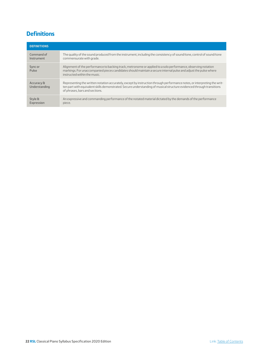## <span id="page-21-0"></span>**Definitions**

| <b>DEFINITIONS</b>          |                                                                                                                                                                                                                                                                                     |
|-----------------------------|-------------------------------------------------------------------------------------------------------------------------------------------------------------------------------------------------------------------------------------------------------------------------------------|
| Command of<br>Instrument    | The quality of the sound produced from the instrument, including the consistency of sound/tone, control of sound/tone<br>commensurate with grade.                                                                                                                                   |
| Sync or<br>Pulse            | Alignment of the performance to backing track, metronome or applied to a solo performance, observing notation<br>markings. For unaccompanied pieces candidates should maintain a secure internal pulse and adjust the pulse where<br>instructed within the music.                   |
| Accuracy &<br>Understanding | Representing the written notation accurately, except by instruction through performance notes, or interpreting the writ-<br>ten part with equivalent skills demonstrated. Secure understanding of musical structure evidenced through transitions<br>of phrases, bars and sections. |
| Style &<br>Expression       | An expressive and commanding performance of the notated material dictated by the demands of the performance<br>piece.                                                                                                                                                               |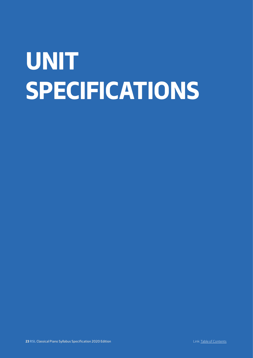## <span id="page-22-0"></span>**UNIT SPECIFICATIONS**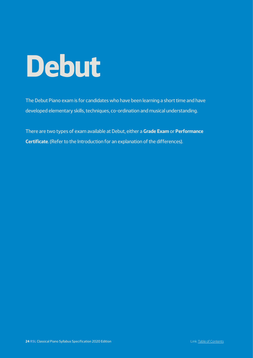## <span id="page-23-0"></span>**Debut**

The Debut Piano exam is for candidates who have been learning a short time and have developed elementary skills, techniques, co-ordination and musical understanding.

There are two types of exam available at Debut, either a **Grade Exam** or **Performance Certificate**. (Refer to the Introduction for an explanation of the differences).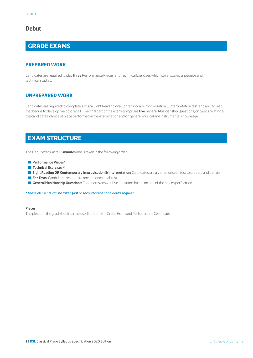## **Debut**

## **GRADE EXAMS**

#### **PREPARED WORK**

Candidates are required to play three Performance Pieces, and Technical Exercises which cover scales, arpeggios and technical studies.

#### **UNPREPARED WORK**

Candidates are required to complete *either* a Sight Reading *or* a Contemporary Improvisation & Interpretation test, and an Ear Test that begins to develop melodic recall. The final part of the exam comprises five General Musicianship Questions, on topics relating to the candidate's choice of piece performed in the examination and on general musical and instrumental knowledge.

## **EXAM STRUCTURE**

The Debut exam lasts **15 minutes** and is taken in the following order:

- Q **Performance Pieces\***
- Q **Technical Exercises \***
- Sight Reading OR Contemporary Improvisation & Interpretation: Candidates are given an unseen test to prepare and perform.
- **Ear Tests:** Candidates respond to one melodic recall test.
- **General Musicianship Questions:** Candidates answer five questions based on one of the pieces performed.

*\*These elements can be taken first or second at the candidate's request*

#### **Pieces**

The pieces in the grade book can be used for both the Grade Exam and Performance Certificate.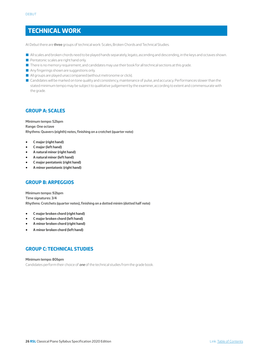## **TECHNICAL WORK**

At Debut there are three groups of technical work: Scales, Broken Chords and Technical Studies.

- All scales and broken chords need to be played hands separately, legato, ascending and descending, in the keys and octaves shown.
- Pentatonic scales are right hand only.
- **There is no memory requirement, and candidates may use their book for all technical sections at this grade.**
- $\blacksquare$  Any fingerings shown are suggestions only.
- $\blacksquare$  All groups are played unaccompanied (without metronome or click).
- Q Candidates will be marked on tone quality and consistency, maintenance of pulse, and accuracy. Performances slower than the stated minimum tempo may be subject to qualitative judgement by the examiner, according to extent and commensurate with the grade.

#### **GROUP A: SCALES**

**Minimum tempo: 52bpm Range: One octave Rhythms: Quavers (eighth) notes, finishing on a crotchet (quarter note)**

- **C major (right hand)**
- **C major (left hand)**
- **A natural minor (right hand)**
- **A natural minor (left hand)**
- **C major pentatonic (right hand)**
- **A minor pentatonic (right hand)**

#### **GROUP B: ARPEGGIOS**

**Minimum tempo: 92bpm Time signatures: 3/4 Rhythms: Crotchets (quarter notes), finishing on a dotted minim (dotted half note)**

- **C major broken chord (right hand)**
- **C major broken chord (left hand)**
- **A minor broken chord (right hand)**
- **A minor broken chord (left hand)**

#### **GROUP C: TECHNICAL STUDIES**

#### **Minimum tempo: 80bpm**

Candidates perform their choice of *one* of the technical studies from the grade book.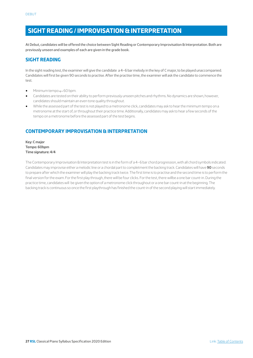## **SIGHT READING / IMPROVISATION & INTERPRETATION**

At Debut, candidates will be offered the choice between Sight Reading or Contemporary Improvisation & Interpretation. Both are previously unseen and examples of each are given in the grade book.

#### **SIGHT READING**

In the sight reading test, the examiner will give the candidate a 4–6 bar melody in the key of C major, to be played unaccompanied. Candidates will first be given 90 seconds to practise. After the practise time, the examiner will ask the candidate to commence the test.

- Minimum tempo  $q = 60$  bpm.
- Candidates are tested on their ability to perform previously unseen pitches and rhythms. No dynamics are shown, however, candidates should maintain an even tone quality throughout.
- While the assessed part of the test is not played to a metronome click, candidates may ask to hear the minimum tempo on a metronome at the start of, or throughout their practice time. Additionally, candidates may ask to hear a few seconds of the tempo on a metronome before the assessed part of the test begins.

### **CONTEMPORARY IMPROVISATION & INTERPRETATION**

**Key: C major Tempo: 60bpm Time signature: 4/4**

The Contemporary Improvisation & Interpretation test is in the form of a 4–6 bar chord progression, with all chord symbols indicated. Candidates may improvise either a melodic line or a chordal part to completment the backing track. Candidates will have **90** seconds to prepare after which the examiner will play the backing track twice. The first time is to practise and the second time is to perform the final version for the exam. For the first play through, there will be four clicks. For the test, there willbe a one bar count-in. During the practice time, candidates will be given the option of a metronome click throughout or a one bar count-in at the beginning. The backing track is continuous so once the first playthrough has finished the count-in of the second playing will start immediately.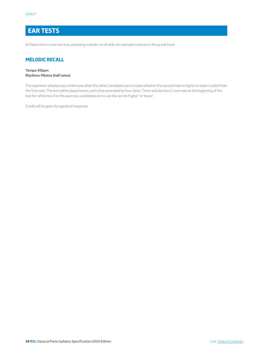## **EAR TESTS**

At Debut there is one ear test, assessing melodic recall skills. An example is shown in the grade book.

#### **MELODIC RECALL**

#### **Tempo: 95bpm Rhythms: Minims (half notes)**

The examiner will play two minims one after the other. Candidates are to state whether the second note is higher or lower in pitch than the first note. The test will be played twice, each time preceded by four clicks. There will also be a C root note at the beginning of the test for reference. For this exercise, candidates are to use the words 'higher' or 'lower'.

Credit will be given for speed of response.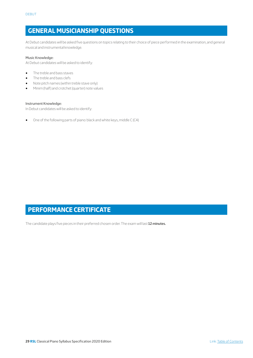## **GENERAL MUSICIANSHIP QUESTIONS**

At Debut candidates will be asked five questions on topics relating to their choice of piece performed in the examination, and general musical and instrumental knowledge.

#### Music Knowledge:

At Debut candidates will be asked to identify:

- The treble and bass staves
- The treble and bass clefs
- Note pitch names (within treble stave only)
- Minim (half) and crotchet (quarter) note values

#### Instrument Knowledge:

In Debut candidates will be asked to identify:

• One of the following parts of piano: black and white keys, middle C (C4)

## **PERFORMANCE CERTIFICATE**

The candidate plays five pieces in their preferred chosen order. The exam will last **12 minutes.**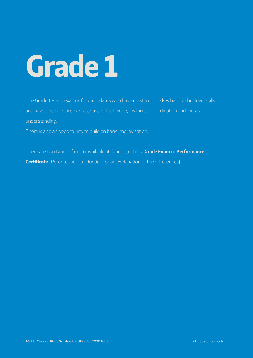# <span id="page-29-0"></span>**Grade 1**

The Grade 1 Piano exam is for candidates who have mastered the key basic debut level skills and have since acquired greater use of technique, rhythms, co-ordination and musical understanding.

There is also an opportunity to build on basic improvisation.

There are two types of exam available at Grade 1, either a **Grade Exam** or **Performance Certificate**. (Refer to the Introduction for an explanation of the differences).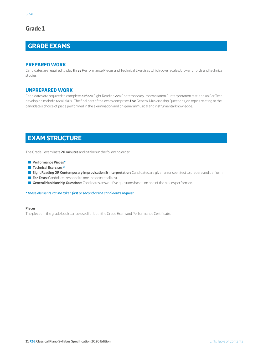## **Grade 1**

## **GRADE EXAMS**

#### **PREPARED WORK**

Candidates are required to play three Performance Pieces and Technical Exercises which cover scales, broken chords and technical studies.

#### **UNPREPARED WORK**

Candidates are required to complete *either* a Sight Reading *or* a Contemporary Improvisation & Interpretation test, and an Ear Test developing melodic recall skills. The final part of the exam comprises five General Musicianship Questions, on topics relating to the candidate's choice of piece performed in the examination and on general musical and instrumental knowledge.

## **EXAM STRUCTURE**

The Grade 1 exam lasts **20 minutes** and is taken in the following order:

- Q **Performance Pieces\***
- Q **Technical Exercises \***
- Sight Reading OR Contemporary Improvisation & Interpretation: Candidates are given an unseen test to prepare and perform.
- **Ear Tests:** Candidates respond to one melodic recall test.
- **General Musicianship Questions:** Candidates answer five questions based on one of the pieces performed.

*\*These elements can be taken first or second at the candidate's request*

#### **Pieces**

The pieces in the grade book can be used for both the Grade Exam and Performance Certificate.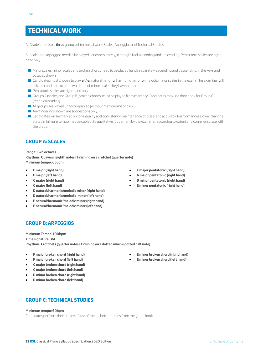## **TECHNICAL WORK**

At Grade 1 there are **three** groups of technical work: Scales, Arpeggios and Technical Studies.

All scales and arpeggios need to be played hands separately, in straight feel, ascending and descending. Pentatonic scales are right hand only.

- Q Major scales, minor scales and broken chords need to be played hands separately, ascending and descending, in the keys and octaves shown.
- Q Candidates must choose to play *either* natural minor *or* harmonic minor *or* melodic minor scales in the exam. The examiner will ask the candidate to state which set of minor scales they have prepared.
- $\blacksquare$  Pentatonic scales are right hand only.
- Q Groups A (scales)and Group B (broken chords) must be played from memory. Candidates may use their book for Group C (technical studies).
- $\blacksquare$  All groups are played unaccompanied (without metronome or click).
- $\blacksquare$  Any fingerings shown are suggestions only.
- **Q** Candidates will be marked on tone quality and consistency, maintenance of pulse, and accuracy. Performances slower than the stated minimum tempo may be subject to qualitative judgement by the examiner, according to extent and commensurate with the grade.

#### **GROUP A: SCALES**

**Range: Two octaves**

**Rhythms: Quavers (eighth notes), finishing on a crotchet (quarter note) Minimum tempo: 66bpm**

- **F major (right hand)**
- **F major (left hand)**
- **G major (right hand)**
- **G major (left hand)**
- **D natural/harmonic/melodic minor (right hand)**
- **D natural/harmonic/melodic minor (left hand)**
- **E natural/harmonic/melodic minor (right hand)**
- **E natural/harmonic/melodic minor (left hand)**

#### **GROUP B: ARPEGGIOS**

**Minimum Tempo: 100bpm Time signature: 3/4 Rhythms: Crotchets (quarter notes), finishing on a dotted minim (dotted half note)**

- **F major broken chord (right hand)**
- **F major broken chord (left hand)**
- **G major broken chord (right hand)**
- **G major broken chord (left hand)**
- **D minor broken chord (right hand)**
- **D minor broken chord (left hand)**
- **F major pentatonic (right hand)** • **G major pentatonic (right hand)**
- **D minor pentatonic (right hand)**
- **E minor pentatonic (right hand)**

- **E minor broken chord (right hand)**
- **E minor broken chord (left hand)**

**GROUP C: TECHNICAL STUDIES**

#### **Minimum tempo: 60bpm**

Candidates perform their choice of *one* of the technical studies from the grade book.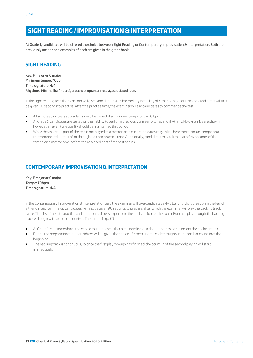## **SIGHT READING / IMPROVISATION & INTERPRETATION**

At Grade 1, candidates will be offered the choice between Sight Reading or Contemporary Improvisation & Interpretation. Both are previously unseen and examples of each are given in the grade book.

### **SIGHT READING**

**Key: F major or G major Minimum tempo: 70bpm Time signature: 4/4 Rhythms: Minims (half notes), crotchets (quarter notes), associated rests**

In the sight reading test, the examiner will give candidates a 4–6 bar melody in the key of either G major or F major. Candidates will first be given 90 seconds to practise. After the practise time, the examiner will ask candidates to commence the test.

- All sight reading tests at Grade 1 should be played at a minimum tempo of  $q = 70$  bpm.
- At Grade 1, candidates are tested on their ability to perform previously unseen pitches and rhythms. No dynamics are shown, however, an even tone quality should be maintained throughout.
- While the assessed part of the test is not played to a metronome click, candidates may ask to hear the minimum tempo on a metronome at the start of, or throughout their practice time. Additionally, candidates may ask to hear a few seconds of the tempo on a metronome before the assessed part of the test begins.

## **CONTEMPORARY IMPROVISATION & INTERPRETATION**

**Key: F major or G major Tempo: 70bpm Time signature: 4/4**

In the Contemporary Improvisation & Interpretation test, the examiner will give candidates a 4–6 bar chord progression in the key of either G major or F major. Candidates will first be given 90 seconds to prepare, after which the examiner will play the backing track twice. The first time is to practise and the second time is to perform the final version for the exam. For each playthrough, thebacking track will begin with a one bar count-in. The tempo is  $q = 70$  bpm.

- At Grade 1, candidates have the choice to improvise either a melodic line or a chordal part to complement the backing track.
- During the preparation time, candidates will be given the choice of a metronome click throughout or a one bar count-in at the beginning.
- The backing track is continuous, so once the first playthrough has finished, the count-in of the second playing will start immediately.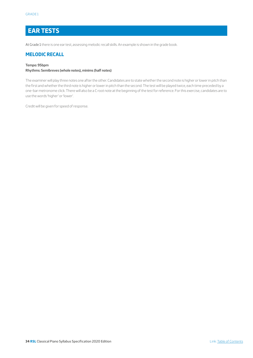## **EAR TESTS**

At Grade 1 there is one ear test, assessing melodic recall skills. An example is shown in the grade book.

#### **MELODIC RECALL**

#### **Tempo: 95bpm**

#### **Rhythms: Semibreves (whole notes), minims (half notes)**

The examiner will play three notes one after the other. Candidates are to state whether the second note is higher or lower in pitch than the first and whether the third note is higher or lower in pitch than the second. The test will be played twice, each time preceded by a one-bar metronome click. There will also be a C root note at the beginning of the test for reference. For this exercise, candidates are to use the words 'higher' or 'lower'.

Credit will be given for speed of response.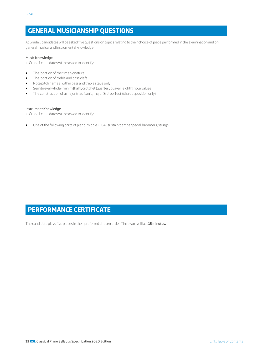## **GENERAL MUSICIANSHIP QUESTIONS**

At Grade 1 candidates will be asked five questions on topics relating to their choice of piece performed in the examination and on general musical and instrumental knowledge.

#### Music Knowledge

In Grade 1 candidates will be asked to identify:

- The location of the time signature
- The location of treble and bass clefs
- Note pitch names (within bass and treble stave only)
- Semibreve (whole), minim (half), crotchet (quarter), quaver (eighth) note values
- The construction of a major triad (tonic, major 3rd, perfect 5th, root position only)

#### Instrument Knowledge

In Grade 1 candidates will be asked to identify:

• One of the following parts of piano: middle C (C4), sustain/damper pedal, hammers, strings.

## **PERFORMANCE CERTIFICATE**

The candidate plays five pieces in their preferred chosen order. The exam will last **15 minutes.**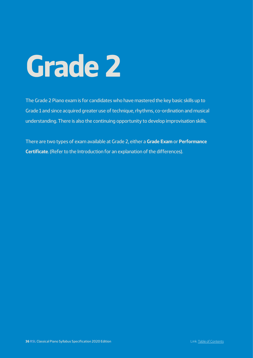# <span id="page-35-0"></span>**Grade 2**

The Grade 2 Piano exam is for candidates who have mastered the key basic skills up to Grade 1 and since acquired greater use of technique, rhythms, co-ordination and musical understanding. There is also the continuing opportunity to develop improvisation skills.

There are two types of exam available at Grade 2, either a **Grade Exam** or **Performance Certificate**. (Refer to the Introduction for an explanation of the differences).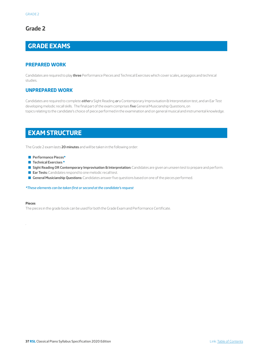## **GRADE EXAMS**

#### **PREPARED WORK**

Candidates are required to play **three** Performance Pieces and Technical Exercises which cover scales, arpeggios and technical studies.

#### **UNPREPARED WORK**

Candidates are required to complete *either* a Sight Reading *or* a Contemporary Improvisation & Interpretation test, and an Ear Test developing melodic recall skills. The final part of the exam comprises five General Musicianship Questions, on topics relating to the candidate's choice of piece performed in the examination and on general musical and instrumental knowledge.

## **EXAM STRUCTURE**

The Grade 2 exam lasts **20 minutes** and will be taken in the following order:

- Q **Performance Pieces\***
- **Technical Exercises \***
- **Gight Reading OR Contemporary Improvisation & Interpretation:** Candidates are given an unseen test to prepare and perform.
- **Ear Tests:** Candidates respond to one melodic recall test.
- **General Musicianship Questions:** Candidates answer five questions based on one of the pieces performed.

*\*These elements can be taken first or second at the candidate's request*

#### **Pieces**

.

The pieces in the grade book can be used for both the Grade Exam and Performance Certificate.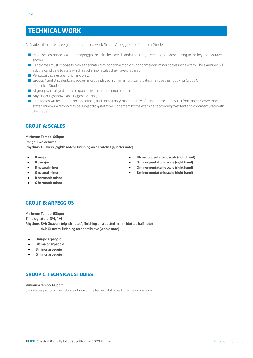## **TECHNICAL WORK**

At Grade 2 there are three groups of technical work: Scales, Arpeggios and Technical Studies.

- Q Major scales, minor scales and arpeggios need to be played hands together, ascending and descending, in the keys and octaves shown.
- Q Candidates must choose to play either natural minor or harmonic minor or melodic minor scales in the exam. The examiner will ask the candidate to state which set of minor scales they have prepared.
- **Pentatonic scales are right hand only.**
- Groups A and B (scales & arpeggios) must be played from memory. Candidates may use their book for Group C (Technical Studies).
- All groups are played unaccompanied (without metronome or click).
- $\blacksquare$  Any fingerings shown are suggestions only.
- Candidates will be marked on tone quality and consistency, maintenance of pulse, and accuracy. Performances slower than the stated minimum tempo may be subject to qualitative judgement by the examiner, according to extent and commensurate with the grade.

## **GROUP A: SCALES**

**Minimum Tempo: 66bpm Range: Two octaves Rhythms: Quavers (eighth notes), finishing on a crotchet (quarter note)**

- **D major**
- **B b major**
- **B natural minor**
- **G natural minor**
- **B harmonic minor**
- **G harmonic minor**

#### • **B b major pentatonic scale (right hand)** • **D major pentatonic scale (right hand)**

- **G minor pentatonic scale (right hand)**
- **B minor pentatonic scale (right hand)**

## **GROUP B: ARPEGGIOS**

**Minimum Tempo: 63bpm Time signature: 3/4, 4/4 Rhythms: 3/4: Quavers (eighth notes), finishing on a dotted minim (dotted half note) 4/4: Quavers, finishing on a semibreve (whole note)**

- **Dmajor arpeggio**
- **B b major arpeggio**
- **B minor arpeggio**
- **G minor arpeggio**

## **GROUP C: TECHNICAL STUDIES**

**Minimum tempo: 60bpm**

Candidates perform their choice of *one* of the technical studies from the grade book.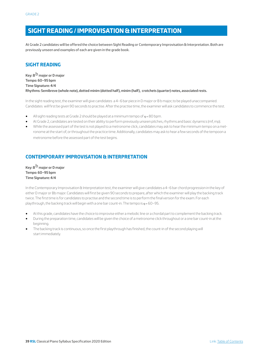## **SIGHT READING / IMPROVISATION & INTERPRETATION**

At Grade 2 candidates will be offered the choice between Sight Reading or Contemporary Improvisation & Interpretation. Both are previously unseen and examples of each are given in the grade book.

## **SIGHT READING**

**Key: B**b **major or D major Tempo: 60–95 bpm Time Signature: 4/4 Rhythms: Semibreve (whole note), dotted minim (dotted half), minim (half), crotchets (quarter) notes, associated rests.** 

In the sight reading test, the examiner will give candidates a 4–6 bar piece in D major or B b major, to be played unaccompanied. Candidates will first be given 90 seconds to practise. After the practise time, the examiner will ask candidates to commence the test.

- All sight reading tests at Grade 2 should be played at a minimum tempo of  $q = 80$  bpm.
- At Grade 2, candidates are tested on their ability to perform previously unseen pitches, rhythms and basic dynamics (mf, mp).
- While the assessed part of the test is not played to a metronome click, candidates may ask to hear the minimum tempo on a metronome at the start of, or throughout the practice time. Additionally, candidates may ask to hear a few seconds of the tempoon a metronome before the assessed part of the test begins.

## **CONTEMPORARY IMPROVISATION & INTERPRETATION**

**Key: B**b **major or D major Tempo: 60–95 bpm Time Signature: 4/4**

In the Contemporary Improvisation & Interpretation test, the examiner will give candidates a 4–6 bar chord progression in the key of either D major or Bb major. Candidates will first be given 90 seconds to prepare, after which the examiner will play the backing track twice. The first time is for candidates to practise and the second time is to perform the final version for the exam. For each playthrough, the backing track will begin with a one bar count-in. The tempo is  $q = 60 - 95$ .

- At this grade, candidates have the choice to improvise either a melodic line or a chordal part to complement the backing track.
- During the preparation time, candidates will be given the choice of a metronome click throughout or a one bar count-in at the beginning.
- The backing track is continuous, so once the first playthrough has finished, the count-in of the second playing will start immediately.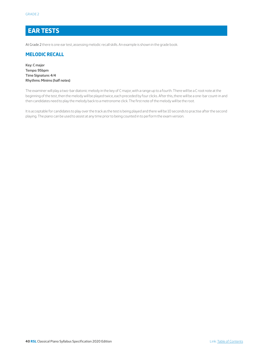## **EAR TESTS**

At Grade 2 there is one ear test, assessing melodic recall skills. An example is shown in the grade book.

#### **MELODIC RECALL**

**Key: C major Tempo: 95bpm Time Signature: 4/4 Rhythms: Minims (half notes)**

The examiner will play a two-bar diatonic melody in the key of C major, with a range up to a fourth. There will be a C root note at the beginning of the test, then the melody will be played twice, each preceded by four clicks. After this, there will be a one-bar count-in and then candidates need to play the melody back to a metronome click. The first note of the melody will be the root.

It is acceptable for candidates to play over the track as the test is being played and there will be 10 seconds to practise after the second playing. The piano can be used to assist at any time prior to being counted in to perform the exam version.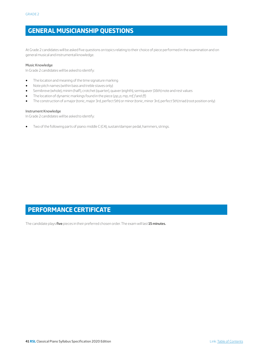# **GENERAL MUSICIANSHIP QUESTIONS**

At Grade 2 candidates will be asked five questions on topics relating to their choice of piece performed in the examination and on general musical and instrumental knowledge.

#### Music Knowledge

In Grade 2 candidates will be asked to identify:

- The location and meaning of the time signature marking
- Note pitch names (within bass and treble staves only)
- Semibreve (whole), minim (half), crotchet (quarter), quaver (eighth), semiquaver (16th) note and rest values
- The location of dynamic markings found in the piece (*pp, p, mp, mf, f* and *ff*)
- The construction of a major (tonic, major 3rd, perfect 5th) or minor (tonic, minor 3rd, perfect 5th) triad (root position only)

#### Instrument Knowledge

In Grade 2 candidates will be asked to identify:

• Two of the following parts of piano: middle C (C4), sustain/damper pedal, hammers, strings.

# **PERFORMANCE CERTIFICATE**

The candidate plays **five** pieces in their preferred chosen order. The exam will last **15 minutes.**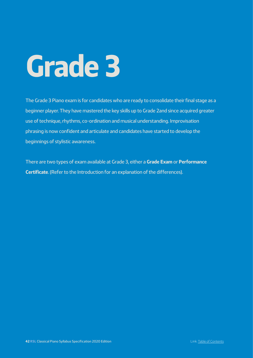The Grade 3 Piano exam is for candidates who are ready to consolidate their final stage as a beginner player. They have mastered the key skills up to Grade 2and since acquired greater use of technique, rhythms, co-ordination and musical understanding. Improvisation phrasing is now confident and articulate and candidates have started to develop the beginnings of stylistic awareness.

There are two types of exam available at Grade 3, either a **Grade Exam** or **Performance Certificate**. (Refer to the Introduction for an explanation of the differences).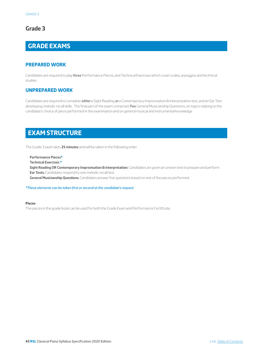# **GRADE EXAMS**

#### **PREPARED WORK**

Candidates are required to play three Performance Pieces, and Technical Exercises which cover scales, arpeggios and technical studies.

#### **UNPREPARED WORK**

Candidates are required to complete *either* a Sight Reading *or* a Contemporary Improvisation & Interpretation test, and an Ear Test developing melodic recall skills. The final part of the exam comprises five General Musicianship Questions, on topics relating to the candidate's choice of piece performed in the examination and on general musical and instrumental knowledge.

## **EXAM STRUCTURE**

The Grade 3 exam lasts **25 minutes** and will be taken in the following order:

**Performance Pieces\***

**Technical Exercises \***

**Sight Reading OR Contemporary Improvisation & Interpretation:** Candidates are given an unseen test to prepare and perform. **Ear Tests:** Candidates respond to one melodic recall test.

**General Musicianship Questions:** Candidates answer five questions based on one of the pieces performed.

*\*These elements can be taken first or second at the candidate's request*

#### **Pieces**

The pieces in the grade book can be used for both the Grade Exam and Performance Certificate.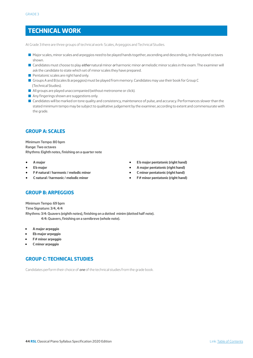## **TECHNICAL WORK**

At Grade 3 there are three groups of technical work: Scales, Arpeggios and Technical Studies.

- Q Major scales, minor scales and arpeggios need to be played hands together, ascending and descending, in the keysand octaves shown.
- Q Candidates must choose to play *either* natural minor *or* harmonic minor *or* melodic minor scales in the exam. The examiner will ask the candidate to state which set of minor scales they have prepared.
- $\blacksquare$  Pentatonic scales are right hand only.
- Groups A and B (scales & arpeggios) must be played from memory. Candidates may use their book for Group C (Technical Studies).
- $\blacksquare$  All groups are played unaccompanied (without metronome or click).
- Any fingerings shown are suggestions only.
- Candidates will be marked on tone quality and consistency, maintenance of pulse, and accuracy. Performances slower than the stated minimum tempo may be subject to qualitative judgement by the examiner, according to extent and commensurate with the grade.

## **GROUP A: SCALES**

**Minimum Tempo: 80 bpm Range: Two octaves Rhythms: Eighth notes, finishing on a quarter note**

- **• A major**
- **• Eb major**
- **• F # natural / harmonic / melodic minor**
- **• C natural / harmonic / melodic minor**
- **• E b major pentatonic (right hand)**
- **• A major pentatonic (right hand)**
- **• C minor pentatonic (right hand)**
- **• F# minor pentatonic (right hand)**

## **GROUP B: ARPEGGIOS**

**Minimum Tempo: 69 bpm Time Signature: 3/4, 4/4 Rhythms: 3/4: Quavers (eighth notes), finishing on a dotted minim (dotted half note). 4/4: Quavers, finishing on a semibreve (whole note).**

- **A major arpeggio**
- **Eb major arpeggio**
- **F # minor arpeggio**
- **C minor arpeggio**

## **GROUP C: TECHNICAL STUDIES**

Candidates perform their choice of *one* of the technical studies from the grade book.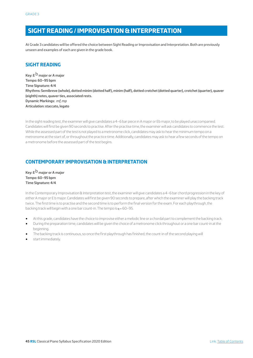## **SIGHT READING / IMPROVISATION & INTERPRETATION**

At Grade 3 candidates will be offered the choice between Sight Reading or Improvisation and Interpretation. Both are previously unseen and examples of each are given in the grade book.

## **SIGHT READING**

**Key: E**b **major or A major Tempo: 60–95 bpm Time Signature: 4/4 Rhythms: Semibreve (whole), dotted minim (dotted half), minim (half), dotted crotchet (dotted quarter), crotchet (quarter), quaver (eighth) notes, quaver ties, associated rests. Dynamic Markings:** *mf, mp* **Articulation: staccato, legato**

In the sight reading test, the examiner will give candidates a 4–6 bar piece in A major or Eb major, to be played unaccompanied. Candidates will first be given 90 seconds to practise. After the practise time, the examiner will ask candidates to commence the test. While the assessed part of the test is not played to a metronome click, candidates may ask to hear the minimum tempo on a metronome at the start of, or throughout the practice time. Additionally, candidates may ask to hear a few seconds of the tempo on a metronome before the assessed part of the test begins.

## **CONTEMPORARY IMPROVISATION & INTERPRETATION**

**Key: E**b **major or A major Tempo: 60–95 bpm Time Signature: 4/4**

In the Contemporary Improvisation & Interpretation test, the examiner will give candidates a 4–6 bar chord progression in the key of either A major or E b major. Candidates will first be given 90 seconds to prepare, after which the examiner will play the backing track twice. The first time is to practise and the second time is to perform the final version for the exam. For each playthrough, the backing track will begin with a one bar count-in. The tempo is  $q = 60 - 95$ .

- At this grade, candidates have the choice to improvise either a melodic line or a chordal part to complement the backing track.
- During the preparation time, candidates will be given the choice of a metronome click throughout or a one bar count-in at the beginning.
- The backing track is continuous, so once the first playthrough has finished, the count-in of the second playing will
- start immediately.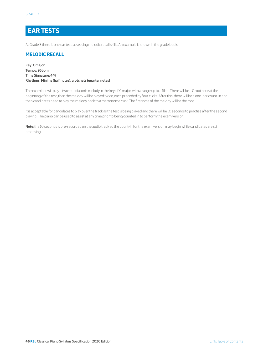## **EAR TESTS**

At Grade 3 there is one ear test, assessing melodic recall skills. An example is shown in the grade book.

#### **MELODIC RECALL**

**Key: C major Tempo: 95bpm Time Signature: 4/4 Rhythms: Minims (half notes), crotchets (quarter notes)**

The examiner will play a two-bar diatonic melody in the key of C major, with a range up to a fifth. There will be a C root note at the beginning of the test, then the melody will be played twice, each preceded by four clicks. After this, there will be a one-bar count-in and then candidates need to play the melody back to a metronome click. The first note of the melody will be the root.

It is acceptable for candidates to play over the track as the test is being played and there will be 10 seconds to practise after the second playing. The piano can be used to assist at any time prior to being counted in to perform the exam version.

**Note**: the 10 seconds is pre-recorded on the audio track so the count-in for the exam version may begin while candidates are still practising.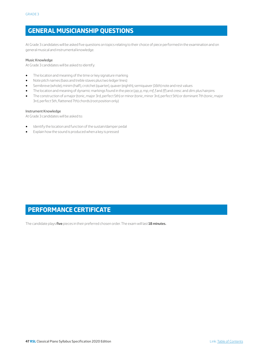## **GENERAL MUSICIANSHIP QUESTIONS**

At Grade 3 candidates will be asked five questions on topics relating to their choice of piece performed in the examination and on general musical and instrumental knowledge.

#### Music Knowledge

At Grade 3 candidates will be asked to identify:

- The location and meaning of the time or key signature marking
- Note pitch names (bass and treble staves plus two ledger lines)
- Semibreve (whole), minim (half), crotchet (quarter), quaver (eighth), semiquaver (16th) note and rest values
- The location and meaning of dynamic markings found in the piece (*pp, p, mp, mf, f* and *ff*) and *cresc*. and *dim*. plus hairpins
- The construction of a major (tonic, major 3rd, perfect 5th) or minor (tonic, minor 3rd, perfect 5th) or dominant 7th (tonic, major 3rd, perfect 5th, flattened 7th) chords (root position only)

#### Instrument Knowledge

At Grade 3 candidates will be asked to:

- Identify the location and function of the sustain/damper pedal
- Explain how the sound is produced when a key is pressed

## **PERFORMANCE CERTIFICATE**

The candidate plays **five** pieces in their preferred chosen order. The exam will last **18 minutes.**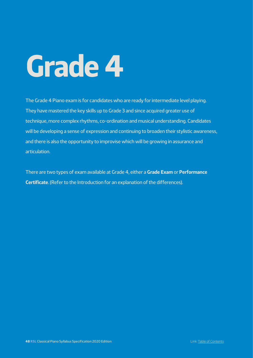The Grade 4 Piano exam is for candidates who are ready for intermediate level playing. They have mastered the key skills up to Grade 3 and since acquired greater use of technique, more complex rhythms, co-ordination and musical understanding. Candidates will be developing a sense of expression and continuing to broaden their stylistic awareness, and there is also the opportunity to improvise which will be growing in assurance and articulation.

There are two types of exam available at Grade 4, either a **Grade Exam** or **Performance Certificate**. (Refer to the Introduction for an explanation of the differences).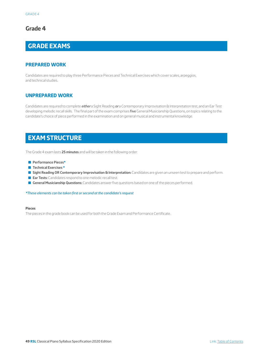# **GRADE EXAMS**

#### **PREPARED WORK**

Candidates are required to play three Performance Pieces and Technical Exercises which cover scales, arpeggios, and technical studies.

#### **UNPREPARED WORK**

Candidates are required to complete *either* a Sight Reading *or* a Contemporary Improvisation & Interpretation test, and an Ear Test developing melodic recall skills. The final part of the exam comprises five General Musicianship Questions, on topics relating to the candidate's choice of piece performed in the examination and on general musical and instrumental knowledge.

## **EXAM STRUCTURE**

The Grade 4 exam lasts **25 minutes** and will be taken in the following order:

- Q **Performance Pieces\***
- Q **Technical Exercises \***
- Sight Reading OR Contemporary Improvisation & Interpretation: Candidates are given an unseen test to prepare and perform.
- **Ear Tests:** Candidates respond to one melodic recall test.
- **General Musicianship Questions:** Candidates answer five questions based on one of the pieces performed.

*\*These elements can be taken first or second at the candidate's request*

#### **Pieces**

The pieces in the grade book can be used for both the Grade Exam and Performance Certificate.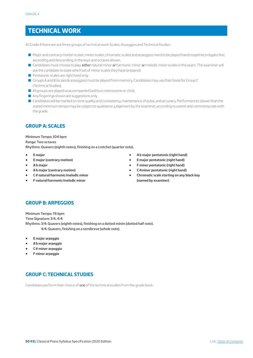# **TECHNICAL WORK**

At Grade 4 there are are three groups of technical work: Scales, Arpeggios and Technical Studies.

- Q Major and contrary motion scales, minor scales, chromatic scales and arpeggios need to be played hands together,in legato feel, ascending and descending, in the keys and octaves shown.
- Q Candidates must choose to play *either* natural minor *or* harmonic minor *or* melodic minor scales in the exam. The examiner will ask the candidate to state which set of minor scales they have prepared.
- **P** Pentatonic scales are right hand only.
- Groups A and B (scales & arpeggios) must be played from memory. Candidates may use their book for Group C (Technical Studies).
- All groups are played unaccompanied (without metronome or click).
- Any fingerings shown are suggestions only.
- Candidates will be marked on tone quality and consistency, maintenance of pulse, and accuracy. Performances slower than the stated minimum tempo may be subject to qualitative judgement by the examiner, according to extent and commensurate with the grade.

## **GROUP A: SCALES**

**Minimum Tempo: 104 bpm Range: Two octaves Rhythms: Quavers (eighth notes), finishing on a crotchet (quarter note).**

- **E major**
- **E major (contrary motion)**
- **A b major**
- **A b major (contrary motion)**
- **C # natural/harmonic/melodic minor**
- **F natural/harmonic/melodic minor**
- **A b major pentatonic (right hand)**
- **E major pentatonic (right hand)**
- **F minor pentatonic (right hand)**
- **C#minor pentatonic (right hand)**
- **Chromatic scale starting on any black key (named by examiner)**

## **GROUP B: ARPEGGIOS**

**Minimum Tempo: 76 bpm Time Signature: 3/4, 4/4 Rhythms: 3/4: Quavers (eighth notes), finishing on a dotted minim (dotted half note). 4/4: Quavers, finishing on a semibreve (whole note).**

- **E major arpeggio**
- **A b major arpeggio**
- **C # minor arpeggio**
- **F minor arpeggio**

## **GROUP C: TECHNICAL STUDIES**

Candidates perform their choice of *one* of the technical studies from the grade book.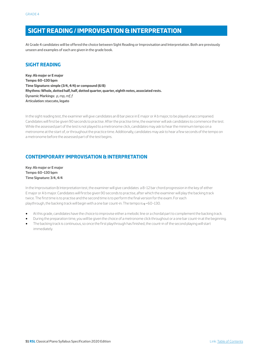## **SIGHT READING / IMPROVISATION & INTERPRETATION**

At Grade 4 candidates will be offered the choice between Sight Reading or Improvisation and Interpretation. Both are previously unseen and examples of each are given in the grade book.

#### **SIGHT READING**

**Key: Ab major or E major Tempo: 60–130 bpm Time Signature: simple (3/4, 4/4) or compound (6/8) Rhythms: Whole, dotted half, half, dotted quarter, quarter, eighth notes, associated rests. Dynamic Markings:** *p, mp, mf, f* **Articulation: staccato, legato**

In the sight reading test, the examiner will give candidates an 8 bar piece in E major or A b major, to be played unaccompanied. Candidates will first be given 90 seconds to practise. After the practise time, the examiner will ask candidates to commence the test. While the assessed part of the test is not played to a metronome click, candidates may ask to hear the minimum tempo on a metronome at the start of, or throughout the practice time. Additionally, candidates may ask to hear a few seconds of the tempo on a metronome before the assessed part of the test begins.

## **CONTEMPORARY IMPROVISATION & INTERPRETATION**

**Key: Ab major or E major Tempo: 60–130 bpm Time Signature: 3/4, 4/4**

In the Improvisation & Interpretation test, the examiner will give candidates a 8–12 bar chord progression in the key of either E major or A b major. Candidates will first be given 90 seconds to practise, after which the examiner will play the backing track twice. The first time is to practise and the second time is to perform the final version for the exam. For each playthrough, the backing track will begin with a one bar count-in. The tempo is q =60–130.

- At this grade, candidates have the choice to improvise either a melodic line or a chordal part to complement the backing track.
- During the preparation time, you will be given the choice of a metronome click throughout or a one bar count-in at the beginning.
- The backing track is continuous, so once the first playthrough has finished, the count-in of the second playing will start immediately.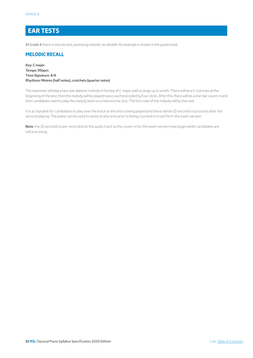## **EAR TESTS**

At Grade 4 there is one ear test, assessing melodic recall skills. An example is shown in the grade book.

#### **MELODIC RECALL**

**Key: C major Tempo: 95bpm Time Signature: 4/4 Rhythms: Minims (half notes), crotchets (quarter notes)**

The examiner will play a two-bar diatonic melody in the key of C major, with a range up to a sixth. There will be a C root note at the beginning of the test, then the melody will be played twice, each preceded by four clicks. After this, there will be a one-bar count-in and then candidates need to play the melody back to a metronome click. The first note of the melody will be the root.

It is acceptable for candidates to play over the track as the test is being played and there will be 10 seconds to practise after the second playing. The piano can be used to assist at any time prior to being counted in to perform the exam version.

**Note**: the 10 seconds is pre-recorded on the audio track so the count-in for the exam version may begin while candidates are still practising.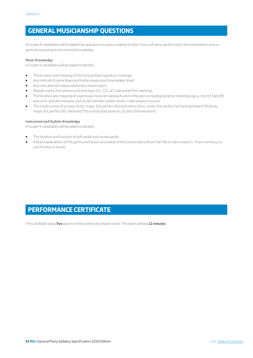## **GENERAL MUSICIANSHIP QUESTIONS**

At Grade 4 candidates will be asked five questions on topics relating to their choice of piece performed in the examination and on general musical and instrumental knowledge.

#### Music Knowledge

In Grade 4 candidates will be asked to identify:

- The location and meaning of the time and key signature markings
- Any note pitch name (bass and treble staves plus three ledger lines)
- Any note and rest values within the chosen piece
- Repeat marks, first and second time bars, D.C., D.S., al Coda and al Fine markings
- The location and meaning of expressive musical marking found in the piece including dynamic markings (*pp, p, mp, mf, f* and *ff*) and *cresc.* and *dim*, hairpins, and *rit. rall. a tempo, subito, simile, molto* and *poco a poco*
- The construction of a major (tonic, major 3rd, perfect 5th) and minor (tonic, minor 3rd, perfect 5th) and dominant 7th (tonic, major 3rd, perfect 5th, flattened 7th) chords (root position, 1st and 2nd inversions)

#### Instrument and Stylistic Knowledge

In Grade 4 candidates will be asked to identify:

- The location and function of soft pedal and sustain pedal
- A brief explanations of the genre and historical context of the chosen piece (from fact file or own research from memory, no use of notes or book)

# **PERFORMANCE CERTIFICATE**

The candidate plays **five** pieces in their preferred chosen order. The exam will last **22 minutes**.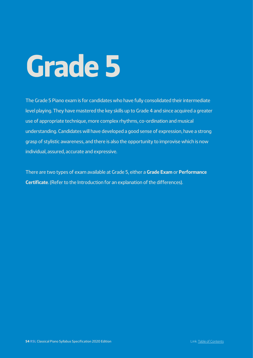The Grade 5 Piano exam is for candidates who have fully consolidated their intermediate level playing. They have mastered the key skills up to Grade 4 and since acquired a greater use of appropriate technique, more complex rhythms, co-ordination and musical understanding. Candidates will have developed a good sense of expression, have a strong grasp of stylistic awareness, and there is also the opportunity to improvise which is now individual, assured, accurate and expressive.

There are two types of exam available at Grade 5, either a **Grade Exam** or **Performance Certificate**. (Refer to the Introduction for an explanation of the differences).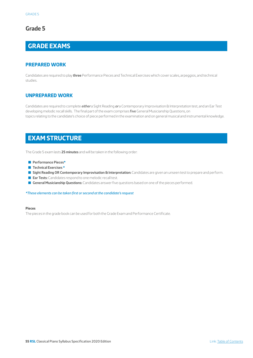# **GRADE EXAMS**

#### **PREPARED WORK**

Candidates are required to play **three** Performance Pieces and Technical Exercises which cover scales, arpeggios, and technical studies.

#### **UNPREPARED WORK**

Candidates are required to complete *either* a Sight Reading *or* a Contemporary Improvisation & Interpretation test, and an Ear Test developing melodic recall skills. The final part of the exam comprises five General Musicianship Questions, on topics relating to the candidate's choice of piece performed in the examination and on general musical and instrumental knowledge.

## **EXAM STRUCTURE**

The Grade 5 exam lasts **25 minutes** and will be taken in the following order:

- Q **Performance Pieces\***
- Q **Technical Exercises \***
- Sight Reading OR Contemporary Improvisation & Interpretation: Candidates are given an unseen test to prepare and perform.
- **Ear Tests:** Candidates respond to one melodic recall test.
- **General Musicianship Questions:** Candidates answer five questions based on one of the pieces performed.

*\*These elements can be taken first or second at the candidate's request*

#### **Pieces**

The pieces in the grade book can be used for both the Grade Exam and Performance Certificate.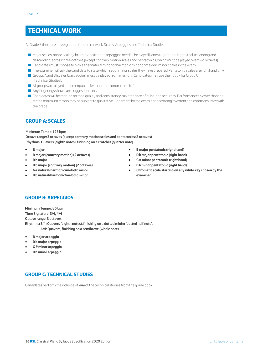# **TECHNICAL WORK**

At Grade 5 there are three groups of technical work: Scales, Arpeggios and Technical Studies.

- Q Major scales, minor scales, chromatic scales and arpeggios need to be played hands together, in legato feel, ascending and descending, across three octaves (except contrary motion scales and pentatonics, which must be played over two octaves).
- **Q** Candidates must choose to play either natural minor or harmonic minor or melodic minor scales in the exam.
- The examiner will ask the candidate to state which set of minor scales they have prepared.Pentatonic scales are right hand only.
- Groups A and B (scales & arpeggios) must be played from memory. Candidates may use their book for Group C (Technical Studies).
- $\blacksquare$  All groups are played unaccompanied (without metronome or click).
- $\blacksquare$  Any fingerings shown are suggestions only.
- Candidates will be marked on tone quality and consistency, maintenance of pulse, and accuracy. Performances slower than the stated minimum tempo may be subject to qualitative judgement by the examiner, according to extent and commensurate with the grade.

#### **GROUP A: SCALES**

#### **Minimum Tempo: 126 bpm**

**Octave range: 3 octaves (except contrary motion scales and pentatonics: 2 octaves) Rhythms: Quavers (eighth notes), finishing on a crotchet (quarter note).**

- **B major**
- **B major (contrary motion) (2 octaves)**
- **D b major**
- **D b major (contrary motion) (2 octaves)**
- **G# natural/harmonic/melodic minor**
- **B b natural/harmonic/melodic minor**
- **B major pentatonic (right hand)**
- **D b major pentatonic (right hand)**
- **G # minor pentatonic (right hand)**
- **B b minor pentatonic (right hand)**
- **Chromatic scale starting on any white key chosen by the examiner**

## **GROUP B: ARPEGGIOS**

**Minimum Tempo: 86 bpm Time Signature: 3/4, 4/4 Octave range: 3 octaves Rhythms: 3/4: Quavers (eighth notes), finishing on a dotted minim (dotted half note). 4/4: Quavers, finishing on a semibreve (whole note).**

- **B major arpeggio**
- **D b major arpeggio**
- **G # minor arpeggio**
- **B b minor arpeggio**

## **GROUP C: TECHNICAL STUDIES**

Candidates perform their choice of *one* of the technical studies from the grade book.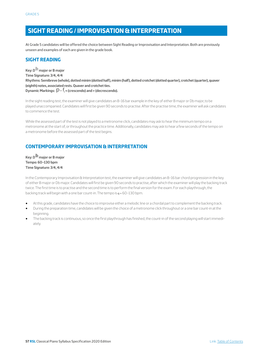## **SIGHT READING / IMPROVISATION & INTERPRETATION**

At Grade 5 candidates will be offered the choice between Sight Reading or Improvisation and Interpretation. Both are previously unseen and examples of each are given in the grade book.

## **SIGHT READING**

**Key: D**b **major or B major Time Signature: 3/4, 4/4 Rhythms: Semibreve (whole), dotted minim (dotted half), minim (half), dotted crotchet (dotted quarter), crotchet (quarter), quaver (eighth) notes, associated rests. Quaver and crotchet ties. Dynamic Markings:** p**–** f**, < (crescendo) and > (decrescendo).**

In the sight reading test, the examiner will give candidates an 8–16 bar example in the key of either B major or Db major, to be played unaccompanied. Candidates will first be given 90 seconds to practise. After the practise time, the examiner will ask candidates to commence the test.

While the assessed part of the test is not played to a metronome click, candidates may ask to hear the minimum tempo on a metronome at the start of, or throughout the practice time. Additionally, candidates may ask to hear a few seconds of the tempo on a metronome before the assessed part of the test begins.

## **CONTEMPORARY IMPROVISATION & INTERPRETATION**

**Key: D**b **major or B major Tempo: 60–130 bpm Time Signature: 3/4, 4/4**

In the Contemporary Improvisation & Interpretation test, the examiner will give candidates an 8–16 bar chord progression in the key of either B major or Db major. Candidates will first be given 90 seconds to practise, after which the examiner will play the backing track twice. The first time is to practise and the second time is to perform the final version for the exam. For each playthrough, the backing track will begin with a one bar count-in. The tempo is  $q = 60 - 130$  bpm.

- At this grade, candidates have the choice to improvise either a melodic line or a chordal part to complement the backing track.
- During the preparation time, candidates will be given the choice of a metronome click throughout or a one bar count-in at the beginning.
- The backing track is continuous, so once the first playthrough has finished, the count-in of the second playing will start immediately.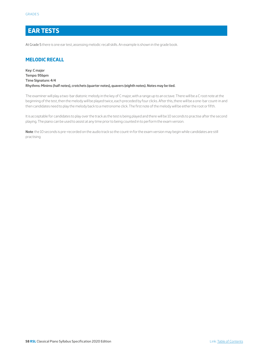## **EAR TESTS**

At Grade 5 there is one ear test, assessing melodic recall skills. An example is shown in the grade book.

## **MELODIC RECALL**

**Key: C major Tempo: 95bpm Time Signature: 4/4 Rhythms: Minims (half notes), crotchets (quarter notes), quavers (eighth notes). Notes may be tied.**

The examiner will play a two-bar diatonic melody in the key of C major, with a range up to an octave. There will be a C root note at the beginning of the test, then the melody will be played twice, each preceded by four clicks. After this, there will be a one-bar count-in and then candidates need to play the melody back to a metronome click. The first note of the melody will be either the root or fifth.

It is acceptable for candidates to play over the track as the test is being played and there will be 10 seconds to practise after the second playing. The piano can be used to assist at any time prior to being counted in to perform the exam version.

**Note**: the 10 seconds is pre-recorded on the audio track so the count-in for the exam version may begin while candidates are still practising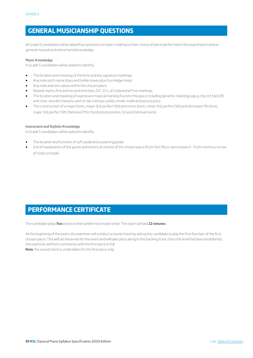## **GENERAL MUSICIANSHIP QUESTIONS**

At Grade 5 candidates will be asked five questions on topics relating to their choice of piece performed in the examination and on general musical and instrumental knowledge.

#### Music Knowledge

In Grade 5 candidates will be asked to identify:

- The location and meaning of the time and key signature markings
- Any note pitch name (bass and treble staves plus four ledger lines)
- Any note and rest values within the chosen piece
- Repeat marks, first and second time bars, D.C., D.S., al Coda and al Fine markings
- The location and meaning of expressive musical marking found in the piece including dynamic markings (*pp, p, mp, mf, f* and *ff*) and *cresc*. and *dim*, hairpins, and *rit. rall. a tempo, subito, simile, molto* and *poco a poco*
- The construction of a major (tonic, major 3rd, perfect 5th) and minor (tonic, minor 3rd, perfect 5th) and dominant 7th (tonic, major 3rd, perfect 5th, flattened 7th) chords (root position, 1st and 2nd inversions)

#### Instrument and Stylistic Knowledge

In Grade 5 candidates will be asked to identify:

- The location and function of soft pedal and sustaining pedal.
- A brief explanation of the genre and historical context of the chosen piece (from fact file or own research from memory, no use of notes or book).

## **PERFORMANCE CERTIFICATE**

The candidate plays **five** pieces in their preferred chosen order. The exam will last **22 minutes**.

At the beginning of the exam, the examiner will conduct a sound check by asking the candidate to play the first few bars of the first chosen piece. This will set the levels for the exam and will take place along to the backing track. Once the level has been established, the examiner will then commence with the first piece in full.

**Note**: the sound check is undertaken for the first piece only.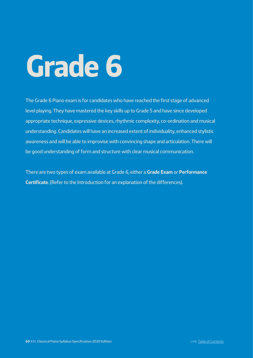The Grade 6 Piano exam is for candidates who have reached the first stage of advanced level playing. They have mastered the key skills up to Grade 5 and have since developed appropriate technique, expressive devices, rhythmic complexity, co-ordination and musical understanding. Candidates will have an increased extent of individuality, enhanced stylistic awareness and will be able to improvise with convincing shape and articulation. There will be good understanding of form and structure with clear musical communication.

There are two types of exam available at Grade 6, either a **Grade Exam** or **Performance Certificate**. (Refer to the Introduction for an explanation of the differences).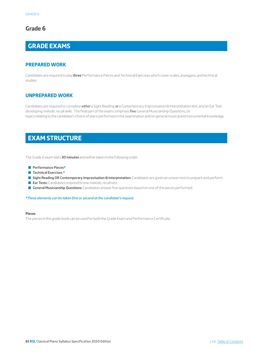# **GRADE EXAMS**

#### **PREPARED WORK**

Candidates are required to play **three** Performance Pieces and Technical Exercises which cover scales, arpeggios, and technical studies.

#### **UNPREPARED WORK**

Candidates are required to complete *either* a Sight Reading *or* a Contemporary Improvisation & Interpretation test, and an Ear Test developing melodic recall skills. The final part of the exam comprises five General Musicianship Questions, on topics relating to the candidate's choice of piece performed in the examination and on general musical and instrumental knowledge.

## **EXAM STRUCTURE**

The Grade 6 exam lasts **30 minutes** and will be taken in the following order:

- Q **Performance Pieces\***
- **Technical Exercises \***
- **Gight Reading OR Contemporary Improvisation & Interpretation:** Candidates are given an unseen test to prepare and perform.
- **Ear Tests:** Candidates respond to one melodic recall test.
- **General Musicianship Questions:** Candidates answer five questions based on one of the pieces performed.

*\*These elements can be taken first or second at the candidate's request*

#### **Pieces**

The pieces in the grade book can be used for both the Grade Exam and Performance Certificate.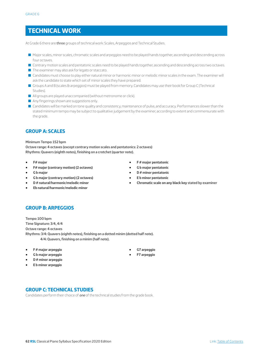# **TECHNICAL WORK**

At Grade 6 there are three groups of technical work: Scales, Arpeggios and Technical Studies.

- Q Major scales, minor scales, chromatic scales and arpeggios need to be played hands together, ascending and descending across four octaves.
- **Q** Contrary motion scales and pentatonic scales need to be played hands together, ascending and descending across two octaves.
- $\blacksquare$  The examiner may also ask for legato or staccato.
- Q Candidates must choose to play either natural minor or harmonic minor or melodic minor scales in the exam. The examiner will ask the candidate to state which set of minor scales they have prepared.
- Q Groups A and B (scales & arpeggios) must be played from memory. Candidates may use their book for Group C (Technical Studies).
- $\blacksquare$  All groups are played unaccompanied (without metronome or click).
- $\blacksquare$  Any fingerings shown are suggestions only.
- Candidates will be marked on tone quality and consistency, maintenance of pulse, and accuracy. Performances slower than the stated minimum tempo may be subject to qualitative judgement by the examiner, according to extent and commensurate with the grade.

#### **GROUP A: SCALES**

#### **Minimum Tempo: 152 bpm**

**Octave range: 4 octaves (except contrary motion scales and pentatonics: 2 octaves) Rhythms: Quavers (eighth notes), finishing on a crotchet (quarter note).**

- **F# major**
- **F# major (contrary motion) (2 octaves)**
- **G b major**
- **G b major (contrary motion) (2 octaves)**
- **D # natural/harmonic/melodic minor**
- **Eb natural/harmonic/melodic minor**
- **F # major pentatonic**
- **G b major pentatonic**
- **D # minor pentatonic**
- **E b minor pentatonic**
- **Chromatic scale on any black key stated by examiner**

#### **GROUP B: ARPEGGIOS**

**Tempo: 100 bpm Time Signature: 3/4, 4/4 Octave range: 4 octaves Rhythms: 3/4: Quavers (eighth notes), finishing on a dotted minim (dotted half note). 4/4: Quavers, finishing on a minim (half note).**

- **F # major arpeggio**
- **G b major arpeggio**
- **D # minor arpeggio**
- **E b minor arpeggio**
- **G7 arpeggio**
- **F7 arpeggio**

**GROUP C: TECHNICAL STUDIES**

Candidates perform their choice of *one* of the technical studies from the grade book.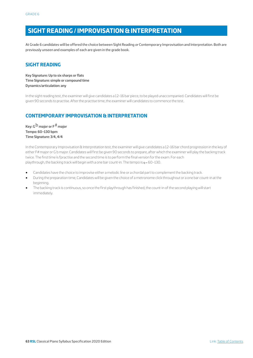## **SIGHT READING / IMPROVISATION & INTERPRETATION**

At Grade 6 candidates will be offered the choice between Sight Reading *or* Contemporary Improvisation and Interpretation. Both are previously unseen and examples of each are given in the grade book.

## **SIGHT READING**

**Key Signature: Up to six sharps or flats Time Signature: simple or compound time Dynamics/articulation: any**

In the sight reading test, the examiner will give candidates a 12–16 bar piece, to be played unaccompanied. Candidates will first be given 90 seconds to practise. After the practise time, the examiner will candidates to commence the test.

## **CONTEMPORARY IMPROVISATION & INTERPRETATION**

**Key: G**b **major or F**# **major Tempo: 60–130 bpm Time Signature: 3/4, 4/4**

In the Contemporary Improvisation & Interpretation test, the examiner will give candidates a 12–16 bar chord progression in the key of either F# major or G b major. Candidates will first be given 90 seconds to prepare, after which the examiner will play the backing track twice. The first time is fpractise and the second time is to perform the final version for the exam. For each playthrough, the backing track will begin with a one bar count-in. The tempo is  $q = 60-130$ .

- Candidates have the choice to improvise either a melodic line or a chordal part to complement the backing track.
- During the preparation time, Candidates will be given the choice of a metronome click throughout or a one bar count-in at the beginning.
- The backing track is continuous, so once the first playthrough has finished, the count-in of the second playing will start immediately.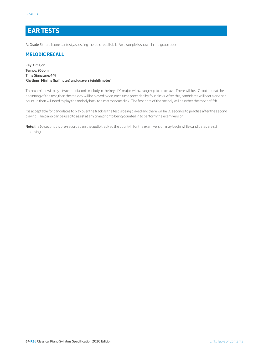# **EAR TESTS**

At Grade 6 there is one ear test, assessing melodic recall skills. An example is shown in the grade book.

#### **MELODIC RECALL**

**Key: C major Tempo: 95bpm Time Signature: 4/4 Rhythms: Minims (half notes) and quavers (eighth notes)**

The examiner will play a two-bar diatonic melody in the key of C major, with a range up to an octave. There will be a C root note at the beginning of the test, then the melody will be played twice, each time preceded by four clicks. After this, candidates will hear a one bar count-in then will need to play the melody back to a metronome click. The first note of the melody will be either the root or fifth.

It is acceptable for candidates to play over the track as the test is being played and there will be 10 seconds to practise after the second playing. The piano can be used to assist at any time prior to being counted in to perform the exam version.

**Note**: the 10 seconds is pre-recorded on the audio track so the count-in for the exam version may begin while candidates are still practising.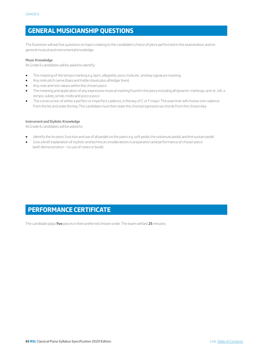## **GENERAL MUSICIANSHIP QUESTIONS**

The Examiner will ask five questions on topics relating to the candidate's choice of piece performed in the examination, and on general musical and instrumental knowledge.

#### Music Knowledge

At Grade 6 candidates will be asked to identify:

- The meaning of the tempo marking e.g. bpm, *allegretto, poco moto* etc. and key signature marking
- Any note pitch name (bass and treble staves plus all ledger lines)
- Any note and rest values within the chosen piece
- The meaning and application of any expressive musical marking found in the piece including all dynamic markings, and *rit., rall., a tempo, subito, simile, molto* and *poco a poco*
- The construction of either a perfect or imperfect cadence, in the key of C or F major. The examiner will choose one cadence from the list and state the key. The candidate must then state the chord progression as chords from the chosen key

#### Instrument and Stylistic Knowledge

At Grade 6 candidates will be asked to:

- Identify the location, function and use of all pedals on the piano e.g. soft pedal, the sostenuto pedal, and the sustain pedal
- Give a brief explanation of stylistic and technical considerations in preparation and performance of chosen piece (with demonstration – no use of notes or book)

# **PERFORMANCE CERTIFICATE**

The candidate plays **five** pieces in their preferred chosen order. The exam will last **25** minutes.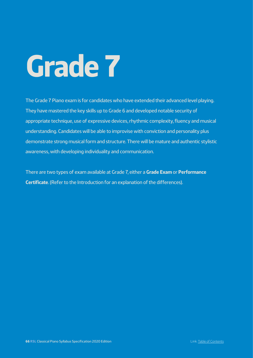The Grade 7 Piano exam is for candidates who have extended their advanced level playing. They have mastered the key skills up to Grade 6 and developed notable security of appropriate technique, use of expressive devices, rhythmic complexity, fluency and musical understanding. Candidates will be able to improvise with conviction and personality plus demonstrate strong musical form and structure. There will be mature and authentic stylistic awareness, with developing individuality and communication.

There are two types of exam available at Grade 7, either a **Grade Exam** or **Performance Certificate**. (Refer to the Introduction for an explanation of the differences).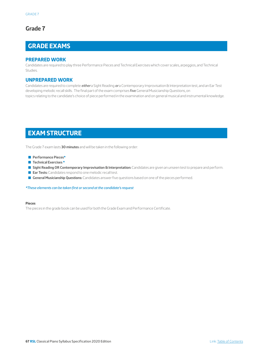# **GRADE EXAMS**

#### **PREPARED WORK**

Candidates are required to play three Performance Pieces and Technical Exercises which cover scales, arpeggios, and Technical Studies.

#### **UNPREPARED WORK**

Candidates are required to complete *either* a Sight Reading *or* a Contemporary Improvisation & Interpretation test, and an Ear Test developing melodic recall skills. The final part of the exam comprises five General Musicianship Questions, on topics relating to the candidate's choice of piece performed in the examination and on general musical and instrumental knowledge.

## **EXAM STRUCTURE**

The Grade 7 exam lasts **30 minutes** and will be taken in the following order:

- Q **Performance Pieces\***
- **Technical Exercises \***
- **Gight Reading OR Contemporary Improvisation & Interpretation:** Candidates are given an unseen test to prepare and perform.
- **Ear Tests:** Candidates respond to one melodic recall test.
- **General Musicianship Questions:** Candidates answer five questions based on one of the pieces performed.

*\*These elements can be taken first or second at the candidate's request*

#### **Pieces**

The pieces in the grade book can be used for both the Grade Exam and Performance Certificate.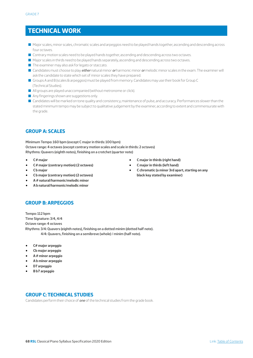## **TECHNICAL WORK**

- Q Major scales, minor scales, chromatic scales and arpeggios need to be played hands together, ascending and descending across four octaves.
- **O** Contrary motion scales need to be played hands together, ascending and descending across two octaves.
- $\blacksquare$  Major scales in thirds need to be played hands separately, ascending and descending across two octaves.
- $\blacksquare$  The examiner may also ask for legato or staccato.
- Q Candidates must choose to play *either* natural minor *or* harmonic minor *or* melodic minor scales in the exam. The examiner will ask the candidate to state which set of minor scales they have prepared.
- Groups A and B (scales & arpeggios) must be played from memory. Candidates may use their book for Group C (Technical Studies).
- $\blacksquare$  All groups are played unaccompanied (without metronome or click).
- Any fingerings shown are suggestions only.
- Candidates will be marked on tone quality and consistency, maintenance of pulse, and accuracy. Performances slower than the stated minimum tempo may be subject to qualitative judgement by the examiner, according to extent and commensurate with the grade.

#### **GROUP A: SCALES**

**Minimum Tempo: 160 bpm (except C major in thirds: 100 bpm) Octave range: 4 octaves (except contrary motion scales and scale in thirds: 2 octaves) Rhythms: Quavers (eighth notes), finishing on a crotchet (quarter note)**

- **C # major**
- **C # major (contrary motion) (2 octaves)**
- **C b major**
- **C b major (contrary motion) (2 octaves)**
- **A # natural/harmonic/melodic minor**
- **A b natural/harmonic/melodic minor**

## • **C major in thirds (right hand)**

- **C major in thirds (left hand)**
- **C chromatic (a minor 3rd apart, starting on any black key stated by examiner)**

#### **GROUP B: ARPEGGIOS**

**Tempo: 112 bpm Time Signature: 3/4, 4/4 Octave range: 4 octaves Rhythms: 3/4: Quavers (eighth notes), finishing on a dotted minim (dotted half note). 4/4: Quavers, finishing on a semibreve (whole) / minim (half note).**

- **C# major arpeggio**
- **Cb major arpeggio**
- **A # minor arpeggio**
- **A b minor arpeggio**
- **D7 arpeggio**
- **B b7 arpeggio**

## **GROUP C: TECHNICAL STUDIES**

Candidates perform their choice of *one* of the technical studies from the grade book.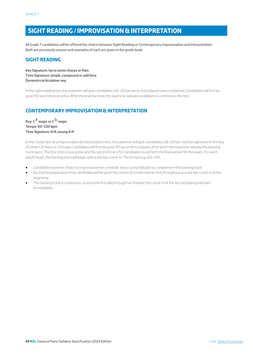# **SIGHT READING / IMPROVISATION & INTERPRETATION**

At Grade 7 candidates will be offered the choice between Sight Reading *or* Contemporary Improvisation and Interpretation. Both are previously unseen and examples of each are given in the grade book.

#### **SIGHT READING**

**Key Signature: Up to seven sharps or flats Time Signature: simple, compound or odd time Dynamics/articulation: any**

In the sight reading test, the examiner will give candidates a 16–20 bar piece, to be played unaccompanied. Candidates will first be given 90 seconds to practise. After the practise time, the examiner will ask candidates to commence the test.

## **CONTEMPORARY IMPROVISATION & INTERPRETATION**

**Key: C**# **major or C**b **major Tempo: 60–130 bpm Time Signature: 4/4, swung 4/4**

In the Contemporary Improvisation & Interpretation test, the examiner will give candidates a 16–20 bar chord progression in the key of either C# major or Cb major. Candidates will first be given 90 seconds to prepare, after which the examiner will play the backing track twice. The first time is to practise and the second time is for candidates to perform the final version for the exam. For each playthrough, the backing track will begin with a one bar count-in. The tempo is  $q = 60-130$ .

- Candidates have the choice to improvise either a melodic line or a chordal part to complement the backing track.
- During the preparation time, candidates will be given the choice of a metronome click throughout or a one bar count-in at the beginning.
- The backing track is continuous, so once the first playthrough has finished, the count-in of the second playing will start immediately.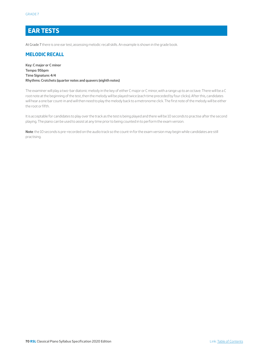## **EAR TESTS**

At Grade 7 there is one ear test, assessing melodic recall skills. An example is shown in the grade book.

#### **MELODIC RECALL**

**Key: C major or C minor Tempo: 95bpm Time Signature: 4/4 Rhythms: Crotchets (quarter notes and quavers (eighth notes)**

The examiner will play a two-bar diatonic melody in the key of either C major or C minor, with a range up to an octave. There will be a C root note at the beginning of the test, then the melody will be played twice (each time preceded by four clicks). After this, candidates will hear a one bar count-in and will then need to play the melody back to a metronome click. The first note of the melody will be either the root or fifth.

It is acceptable for candidates to play over the track as the test is being played and there will be 10 seconds to practise after the second playing. The piano can be used to assist at any time prior to being counted in to perform the exam version.

**Note**: the 10 seconds is pre-recorded on the audio track so the count-in for the exam version may begin while candidates are still practising.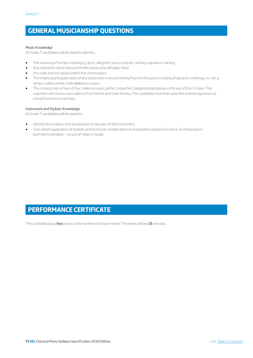# **GENERAL MUSICIANSHIP QUESTIONS**

#### Music Knowledge

At Grade 7 candidates will be asked to identify:

- The meaning of tempo marking e.g. bpm, *allegretto, poco moto* etc. and key signature marking
- Any note pitch name (bass and treble staves plus all ledger lines)
- Any note and rest values within the chosen piece
- The meaning and application of any expressive musical marking found in the piece including all dynamic markings, *rit., rall., a tempo, subito, simile, molto* and *poco a poco*
- The construction of two of four cadence types; perfect, imperfect, plagal and deceptive, in the key of D or G major. The examiner will choose one cadence from the list and state the key. The candidate must then state the chord progression as chords from the chosen key

#### Instrument and Stylistic Knowledge

At Grade 7 candidates will be asked to:

- Identify the location, function and use of any part of the instrument
- Give a brief explanation of stylistic and technical considerations in preparation and performance of chosen piece (with demonstration – no use of notes or book)

## **PERFORMANCE CERTIFICATE**

The candidate plays **five** pieces in their preferred chosen order. The exam will last **25** minutes.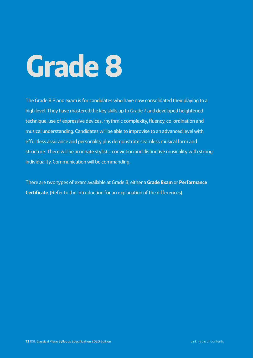The Grade 8 Piano exam is for candidates who have now consolidated their playing to a high level. They have mastered the key skills up to Grade 7 and developed heightened technique, use of expressive devices, rhythmic complexity, fluency, co-ordination and musical understanding. Candidates will be able to improvise to an advanced level with effortless assurance and personality plus demonstrate seamless musical form and structure. There will be an innate stylistic conviction and distinctive musicality with strong individuality. Communication will be commanding.

There are two types of exam available at Grade 8, either a **Grade Exam** or **Performance Certificate**. (Refer to the Introduction for an explanation of the differences).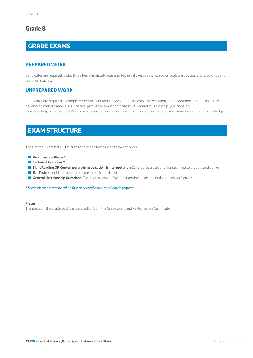## **Grade 8**

# **GRADE EXAMS**

## **PREPARED WORK**

Candidates are required to play three Performance Pieces and Technical Exercises which cover scales, arpeggios, chord voicings and technical studies.

### **UNPREPARED WORK**

Candidates are required to complete *either* a Sight Reading *or* a Contemporary Improvisation & Interpretation test, and an Ear Test developing melodic recall skills. The final part of the exam comprises five General Musicianship Questions, on topics relating to the candidate's choice of piece performed in the examination and on general musical and instrumental knowledge.

# **EXAM STRUCTURE**

The Grade 8 exam lasts **30 minutes** and will be taken in the following order:

- Q **Performance Pieces\***
- **Technical Exercises \***
- **Gight Reading OR Contemporary Improvisation & Interpretation:** Candidates are given an unseen test to prepare and perform.
- **Ear Tests:** Candidates respond to one melodic recall test.
- **General Musicianship Questions:** Candidates answer five questions based on one of the pieces performed.

*\*These elements can be taken first or second at the candidate's request*

#### **Pieces**

The pieces in the grade book can be used for both the Grade Exam and Performance Certificate.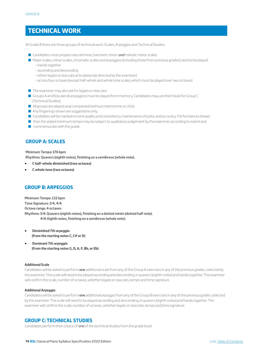# **TECHNICAL WORK**

At Grade 8 there are three groups of technical work: Scales, Arpeggios and Technical Studies.

- Candidates must prepare natural minor, harmonic minor **and** melodic minor scales
- Q Major scales, minor scales, chromatic scales and arpeggios (including those from previous grades) need to be played:
	- hands together
	- ascending and descending
	- either legato or staccato articulation (as directed by the examiner)
	- across four octaves (except half-whole and whole tone scales, which must be played over two octaves)
- $\blacksquare$  The examiner may also ask for legato or staccato.
- Groups A and B (scales & arpeggios) must be played from memory. Candidates may use their book for Group C (Technical Studies).
- $\blacksquare$  All groups are played unaccompanied (without metronome or click).
- $\blacksquare$  Any fingerings shown are suggestions only.
- **Q** Candidates will be marked on tone quality and consistency, maintenance of pulse, and accuracy. Performances slower
- $\blacksquare$  than the stated minimum tempo may be subject to qualitative judgement by the examiner, according to extent and
- $\Box$  commensurate with the grade.

#### **GROUP A: SCALES**

**Minimum Tempo: 176 bpm** 

**Rhythms: Quavers (eighth notes), finishing on a semibreve (whole note).** 

- **C half-whole diminished (two octaves)**
- **C whole tone (two octaves)**

## **GROUP B: ARPEGGIOS**

**Minimum Tempo: 132 bpm Time Signature: 3/4, 4/4 Octave range: 4 octaves Rhythms: 3/4: Quavers (eighth notes), finishing on a dotted minim (dotted half note). 4/4: Eighth notes, finishing on a semibreve (whole note).** 

- **Diminished 7th arpeggio (from the starting notes C, C# or D)**
- **Dominant 7th arpeggio (from the starting notes G, D, A, F, Bb, or Eb)**

#### **Additional Scale**

Candidates will be asked to perform **one** additional scale from any of the Group A exercises in any of the previous grades, selected by the examiner. The scale will need to be played ascending and descending, in quavers (eighth notes) and hands together. The examiner will confirm the scale, number of octaves, whether legato or staccato, tempo and time signature.

#### **Additional Arpeggio**

Candidates will be asked to perform **one** additional arpeggio from any of the Group B exercises in any of the previous grades, selected by the examiner. The scale will need to be played ascending and descending, in quavers (eighth notes) and hands together. The examiner will confirm the scale, number of octaves, whether legato or staccato, tempo and time signature.

#### **GROUP C: TECHNICAL STUDIES**

Candidates perform their choice of *one* of the technical studies from the grade book.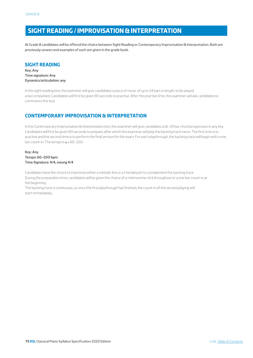# **SIGHT READING / IMPROVISATION & INTERPRETATION**

At Grade 8 candidates will be offered the choice between Sight Reading or Contemporary Improvisation & Interpretation. Both are previously unseen and examples of each are given in the grade book.

### **SIGHT READING**

**Key: Any Time signature: Any Dynamics/articulation: any**

In the sight reading test, the examiner will give candidates a piece of music of up to 24 bars in length, to be played unaccompanied. Candidates will first be given 90 seconds to practise. After the practise time, the examiner will ask candidates to commence the test.

### **CONTEMPORARY IMPROVISATION & INTERPRETATION**

In the Contemporary Improvisation & Interpretation test, the examiner will give candidates a 16–24 bar chord progression in any key. Candidates will first be given 90 seconds to prepare, after which the examiner will play the backing track twice. The first time is to practise and the second time is to perform the final version for the exam. For each playthrough, the backing track will begin with a one bar count-in. The tempo is  $q = 60 - 200$ .

#### **Key: Any Tempo: 60–200 bpm Time Signature: 4/4, swung 4/4**

Candidates have the choice to improvise either a melodic line or a chordal part to complement the backing track. During the preparation time, candidates will be given the choice of a metronome click throughout or a one bar count-in at the beginning.

The backing track is continuous, so once the first playthrough has finished, the count-in of the second playing will start immediately.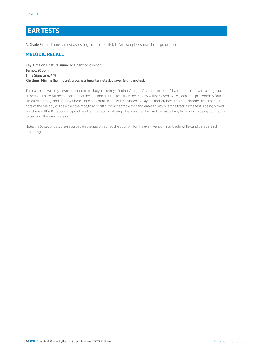# **EAR TESTS**

At Grade 8 there is one ear test, assessing melodic recall skills. An example is shown in the grade book.

### **MELODIC RECALL**

**Key: C major, C natural minor or C harmonic minor Tempo: 95bpm Time Signature: 4/4 Rhythms: Minims (half notes), crotchets (quarter notes), quaver (eighth notes).** 

The examiner will play a two-bar diatonic melody in the key of either C major, C natural minor or C harmonic minor, with a range up to an octave. There will be a C root note at the beginning of the test, then the melody will be played twice (each time preceded by four clicks). After this, candidates will hear a one bar count-in and will then need to play the melody back to a metronome click. The first note of the melody will be either the root, third or fifth. It is acceptable for candidates to play over the track as the test is being played and there will be 10 seconds to practise after the second playing. The piano can be used to assist at any time prior to being counted in to perform the exam version.

Note: the 10 seconds is pre-recorded on the audio track so the count-in for the exam version may begin while candidates are still practising.